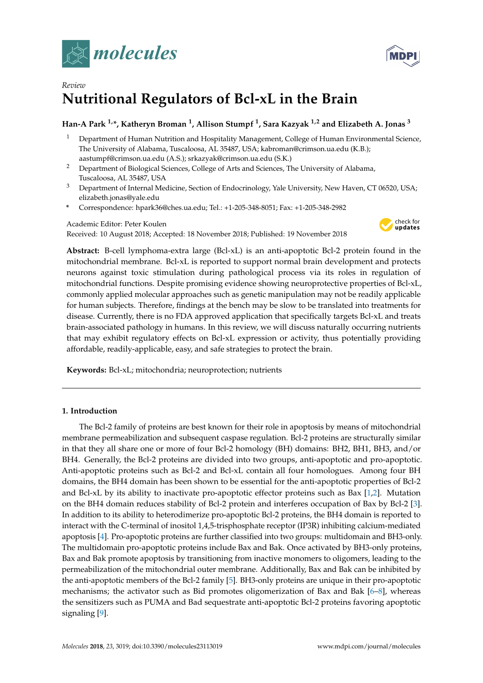



# *Review* **Nutritional Regulators of Bcl-xL in the Brain**

# **Han-A Park 1,\*, Katheryn Broman <sup>1</sup> , Allison Stumpf <sup>1</sup> , Sara Kazyak 1,2 and Elizabeth A. Jonas <sup>3</sup>**

- <sup>1</sup> Department of Human Nutrition and Hospitality Management, College of Human Environmental Science, The University of Alabama, Tuscaloosa, AL 35487, USA; kabroman@crimson.ua.edu (K.B.); aastumpf@crimson.ua.edu (A.S.); srkazyak@crimson.ua.edu (S.K.)
- <sup>2</sup> Department of Biological Sciences, College of Arts and Sciences, The University of Alabama, Tuscaloosa, AL 35487, USA
- <sup>3</sup> Department of Internal Medicine, Section of Endocrinology, Yale University, New Haven, CT 06520, USA; elizabeth.jonas@yale.edu
- **\*** Correspondence: hpark36@ches.ua.edu; Tel.: +1-205-348-8051; Fax: +1-205-348-2982

Academic Editor: Peter Koulen Received: 10 August 2018; Accepted: 18 November 2018; Published: 19 November 2018



**Abstract:** B-cell lymphoma-extra large (Bcl-xL) is an anti-apoptotic Bcl-2 protein found in the mitochondrial membrane. Bcl-xL is reported to support normal brain development and protects neurons against toxic stimulation during pathological process via its roles in regulation of mitochondrial functions. Despite promising evidence showing neuroprotective properties of Bcl-xL, commonly applied molecular approaches such as genetic manipulation may not be readily applicable for human subjects. Therefore, findings at the bench may be slow to be translated into treatments for disease. Currently, there is no FDA approved application that specifically targets Bcl-xL and treats brain-associated pathology in humans. In this review, we will discuss naturally occurring nutrients that may exhibit regulatory effects on Bcl-xL expression or activity, thus potentially providing affordable, readily-applicable, easy, and safe strategies to protect the brain.

**Keywords:** Bcl-xL; mitochondria; neuroprotection; nutrients

# **1. Introduction**

The Bcl-2 family of proteins are best known for their role in apoptosis by means of mitochondrial membrane permeabilization and subsequent caspase regulation. Bcl-2 proteins are structurally similar in that they all share one or more of four Bcl-2 homology (BH) domains: BH2, BH1, BH3, and/or BH4. Generally, the Bcl-2 proteins are divided into two groups, anti-apoptotic and pro-apoptotic. Anti-apoptotic proteins such as Bcl-2 and Bcl-xL contain all four homologues. Among four BH domains, the BH4 domain has been shown to be essential for the anti-apoptotic properties of Bcl-2 and Bcl-xL by its ability to inactivate pro-apoptotic effector proteins such as Bax [\[1](#page-8-0)[,2\]](#page-8-1). Mutation on the BH4 domain reduces stability of Bcl-2 protein and interferes occupation of Bax by Bcl-2 [\[3\]](#page-8-2). In addition to its ability to heterodimerize pro-apoptotic Bcl-2 proteins, the BH4 domain is reported to interact with the C-terminal of inositol 1,4,5-trisphosphate receptor (IP3R) inhibiting calcium-mediated apoptosis [\[4\]](#page-9-0). Pro-apoptotic proteins are further classified into two groups: multidomain and BH3-only. The multidomain pro-apoptotic proteins include Bax and Bak. Once activated by BH3-only proteins, Bax and Bak promote apoptosis by transitioning from inactive monomers to oligomers, leading to the permeabilization of the mitochondrial outer membrane. Additionally, Bax and Bak can be inhibited by the anti-apoptotic members of the Bcl-2 family [\[5\]](#page-9-1). BH3-only proteins are unique in their pro-apoptotic mechanisms; the activator such as Bid promotes oligomerization of Bax and Bak [\[6](#page-9-2)[–8\]](#page-9-3), whereas the sensitizers such as PUMA and Bad sequestrate anti-apoptotic Bcl-2 proteins favoring apoptotic signaling [\[9\]](#page-9-4).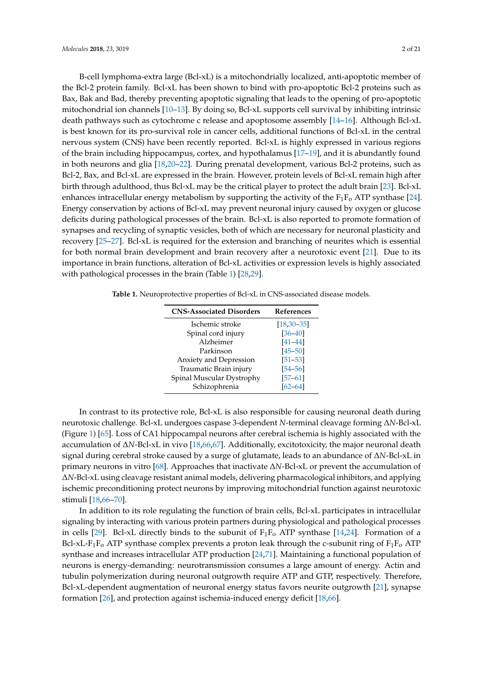B-cell lymphoma-extra large (Bcl-xL) is a mitochondrially localized, anti-apoptotic member of the Bcl-2 protein family. Bcl-xL has been shown to bind with pro-apoptotic Bcl-2 proteins such as Bax, Bak and Bad, thereby preventing apoptotic signaling that leads to the opening of pro-apoptotic mitochondrial ion channels [\[10](#page-9-5)[–13\]](#page-9-6). By doing so, Bcl-xL supports cell survival by inhibiting intrinsic death pathways such as cytochrome c release and apoptosome assembly [\[14–](#page-9-7)[16\]](#page-9-8). Although Bcl-xL is best known for its pro-survival role in cancer cells, additional functions of Bcl-xL in the central nervous system (CNS) have been recently reported. Bcl-xL is highly expressed in various regions of the brain including hippocampus, cortex, and hypothalamus [\[17–](#page-9-9)[19\]](#page-9-10), and it is abundantly found in both neurons and glia [\[18](#page-9-11)[,20](#page-9-12)[–22\]](#page-10-0). During prenatal development, various Bcl-2 proteins, such as Bcl-2, Bax, and Bcl-xL are expressed in the brain. However, protein levels of Bcl-xL remain high after birth through adulthood, thus Bcl-xL may be the critical player to protect the adult brain [\[23\]](#page-10-1). Bcl-xL enhances intracellular energy metabolism by supporting the activity of the  $F_1F_0$  ATP synthase [\[24\]](#page-10-2). Energy conservation by actions of Bcl-xL may prevent neuronal injury caused by oxygen or glucose deficits during pathological processes of the brain. Bcl-xL is also reported to promote formation of synapses and recycling of synaptic vesicles, both of which are necessary for neuronal plasticity and recovery [\[25–](#page-10-3)[27\]](#page-10-4). Bcl-xL is required for the extension and branching of neurites which is essential for both normal brain development and brain recovery after a neurotoxic event [\[21\]](#page-9-13). Due to its importance in brain functions, alteration of Bcl-xL activities or expression levels is highly associated with pathological processes in the brain (Table [1\)](#page-1-0) [\[28,](#page-10-5)[29\]](#page-10-6).

<span id="page-1-0"></span>**Table 1.** Neuroprotective properties of Bcl-xL in CNS-associated disease models.

| <b>CNS-Associated Disorders</b> | <b>References</b> |
|---------------------------------|-------------------|
| Ischemic stroke                 | $[18, 30 - 35]$   |
| Spinal cord injury              | $[36 - 40]$       |
| Alzheimer                       | $[41 - 44]$       |
| Parkinson                       | $[45 - 50]$       |
| Anxiety and Depression          | $[51 - 53]$       |
| Traumatic Brain injury          | $[54 - 56]$       |
| Spinal Muscular Dystrophy       | $[57 - 61]$       |
| Schizophrenia                   | $62 - 64$         |

In contrast to its protective role, Bcl-xL is also responsible for causing neuronal death during neurotoxic challenge. Bcl-xL undergoes caspase 3-dependent *N*-terminal cleavage forming ∆*N*-Bcl-xL (Figure [1\)](#page-2-0) [\[65\]](#page-12-3). Loss of CA1 hippocampal neurons after cerebral ischemia is highly associated with the accumulation of ∆*N*-Bcl-xL in vivo [\[18,](#page-9-11)[66,](#page-12-4)[67\]](#page-12-5). Additionally, excitotoxicity, the major neuronal death signal during cerebral stroke caused by a surge of glutamate, leads to an abundance of ∆*N*-Bcl-xL in primary neurons in vitro [\[68\]](#page-12-6). Approaches that inactivate ∆*N*-Bcl-xL or prevent the accumulation of ∆*N*-Bcl-xL using cleavage resistant animal models, delivering pharmacological inhibitors, and applying ischemic preconditioning protect neurons by improving mitochondrial function against neurotoxic stimuli [\[18](#page-9-11)[,66–](#page-12-4)[70\]](#page-12-7).

In addition to its role regulating the function of brain cells, Bcl-xL participates in intracellular signaling by interacting with various protein partners during physiological and pathological processes in cells [\[29\]](#page-10-6). Bcl-xL directly binds to the subunit of  $F_1F_0$  ATP synthase [\[14](#page-9-7)[,24\]](#page-10-2). Formation of a Bcl-xL-F<sub>1</sub>F<sub>o</sub> ATP synthase complex prevents a proton leak through the c-subunit ring of F<sub>1</sub>F<sub>o</sub> ATP synthase and increases intracellular ATP production [\[24,](#page-10-2)[71\]](#page-12-8). Maintaining a functional population of neurons is energy-demanding: neurotransmission consumes a large amount of energy. Actin and tubulin polymerization during neuronal outgrowth require ATP and GTP, respectively. Therefore, Bcl-xL-dependent augmentation of neuronal energy status favors neurite outgrowth [\[21\]](#page-9-13), synapse formation [\[26\]](#page-10-11), and protection against ischemia-induced energy deficit [\[18,](#page-9-11)[66\]](#page-12-4).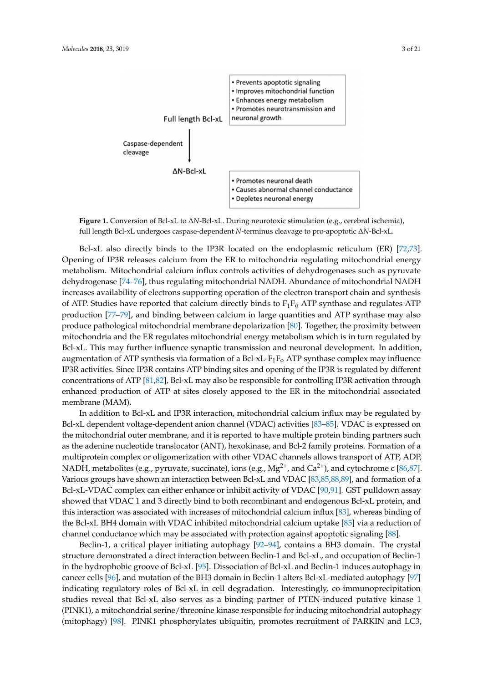<span id="page-2-0"></span>



Bcl-xL also directly binds to the IP3R located on the endoplasmic reticulum (ER) [\[72,](#page-12-9)[73\]](#page-12-10). Opening of IP3R releases calcium from the ER to mitochondria regulating mitochondrial energy metabolism. The metabolism of the metabolism of the metabolism of the metabolism of the metabolism of the metabolism of the metab metabolism. Mitochondrial calcium influx controls activities of dehydrogenases such as pyruvate dehydrogenases such as pyruvate dehydrogenase [\[74](#page-12-11)[–76\]](#page-13-0), thus regulating mitochondrial NADH. Abundance of mitochondrial NADH increases availability of electrons supporting operation of the electron transport chain and synthesis of ATP.  $\ddot{AB}$ of ATP. Studies have reported that calcium directly binds to  $F_1F_0$  ATP synthase and regulates ATP production [\[77](#page-13-1)[–79\]](#page-13-2), and binding between calcium in large quantities and ATP synthase may also production [77–79], and binding between calcium in large quantities and ATP synthase may also produce pathological mitochondrial membrane depolarization [\[80\]](#page-13-3). Together, the proximity between produce pathological mitochondrial membrane depolarization [80]. Together, the proximity between mitochondria and the ER regulates mitochondrial energy metabolism which is in turn regulated by mitochondria and the ER regulates mitochondrial energy metabolism which is in turn regulated by Bcl-xL. This may further influence synaptic transmission and neuronal development. In addition, augmentation of ATP synthesis via formation of a Bcl-xL-F<sub>1</sub>F<sub>o</sub> ATP synthase complex may influence  $\overline{AB}$ IP3R activities. Since IP3R contains ATP binding sites and opening of the IP3R is regulated by IP3R activities. Since IP3R contains ATP binding sites and opening of the IP3R is regulated by different concentrations of ATP [\[81,](#page-13-4)[82\]](#page-13-5), Bcl-xL may also be responsible for controlling IP3R activation through enhanced production of ATP at sites closely apposed to the ER in the mitochondrial associated membrane (MAM).

In addition to Bcl-xL and IP3R interaction, mitochondrial calcium influx may be regulated by Bcl-xL dependent voltage-dependent anion channel (VDAC) activities [83–85]. VDAC is expressed Bcl-xL dependent voltage-dependent anion channel (VDAC) activities [\[83–](#page-13-6)[85\]](#page-13-7). VDAC is expressed on the mitochondrial outer membrane, and it is reported to have multiple protein binding partners such<br>the mitochondrial outer membrane, and it is reported to have multiple protein binding partners such as the adenine nucleotide translocator (ANT), hexokinase, and Bcl-2 family proteins. Formation of a<br>http://www.com/www.com/www.com/www.com/www.com/www.com/www.com/www.com/www.com/www.com/www.com/www.com/www.com multiprotein complex or oligomerization with other VDAC channels allows transport of ATP, ADD, NADH, metabolites (e.g., pyruvate, succinate), ions (e.g., Mg<sup>2+</sup>, and Ca<sup>2+</sup>), and cytochrome c [\[86,](#page-13-8)[87\]](#page-13-9). Various groups have shown an interaction between Bcl-xL and VDAC [\[83,](#page-13-6)[85,](#page-13-7)[88](#page-13-10)[,89\]](#page-13-11), and formation of a<br>Relative SCR and Construction of a construction of a construction of a construction of a construction of a con Bcl-xL-VDAC complex can either enhance or inhibit activity of VDAC [\[90](#page-13-12)[,91\]](#page-13-13). GST pulldown assay showed that VDAC 1 and 3 directly bind to both recombinant and endogenous Bcl-xL protein, and  $\frac{1}{2}$ this interaction was associated with increases of mitochondrial calcium influx [\[83\]](#page-13-6), whereas binding of the Bcl-xL BH4 domain with VDAC inhibited mitochondrial calcium uptake [\[85\]](#page-13-7) via a reduction of channel conductance which may be associated with protection against apoptotic signaling [\[88\]](#page-13-10).<br>
channel conductance which may be associated with protection against apoptotic signaling [88]. multiprotein complex or oligomerization with other VDAC channels allows transport of ATP, ADP,

 $\sum_{i=1}^{\infty}$ structure demonstrated a direct interaction between Beclin-1 and Bcl-xL, and occupation of Beclin-1 in the hydrophobic groove of Bcl-xL [\[95\]](#page-13-16). Dissociation of Bcl-xL and Beclin-1 induces autophagy in induces autophagy in cancer cells [\[96\]](#page-14-0), and mutation of the BH3 domain in Beclin-1 alters Bcl-xL-mediated autophagy [\[97\]](#page-14-1) indicating regulatory roles of Bcl-xL in cell degradation. Interestingly, co-immunoprecipitation studies reveal that Bcl-xL also serves as a binding partner of PTEN-induced putative kinase 1 (PINK1), a mitochondrial serine/threonine kinase responsible for inducing mitochondrial autophagy<br>( $\sim$  1.5%), and  $\sim$  1.5% (mitophagy) [\[98\]](#page-14-2). PINK1 phosphorylates ubiquitin, promotes recruitment of PARKIN and LC3, Beclin-1, a critical player initiating autophagy [\[92–](#page-13-14)[94\]](#page-13-15), contains a BH3 domain. The crystal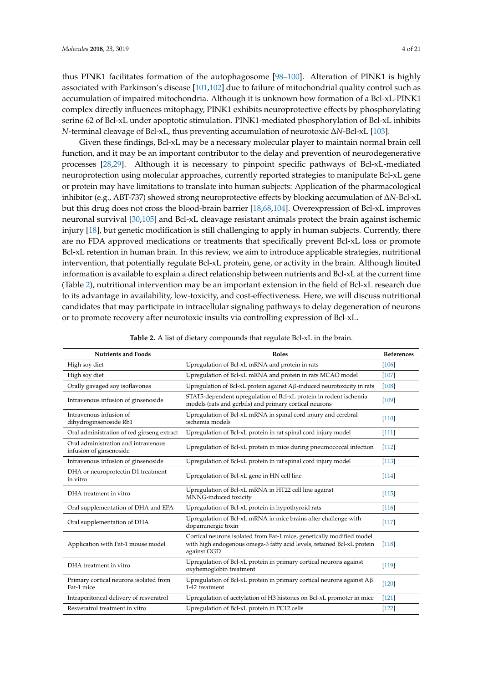thus PINK1 facilitates formation of the autophagosome [\[98](#page-14-2)[–100\]](#page-14-3). Alteration of PINK1 is highly associated with Parkinson's disease [\[101,](#page-14-4)[102\]](#page-14-5) due to failure of mitochondrial quality control such as accumulation of impaired mitochondria. Although it is unknown how formation of a Bcl-xL-PINK1 complex directly influences mitophagy, PINK1 exhibits neuroprotective effects by phosphorylating serine 62 of Bcl-xL under apoptotic stimulation. PINK1-mediated phosphorylation of Bcl-xL inhibits *N*-terminal cleavage of Bcl-xL, thus preventing accumulation of neurotoxic ∆*N*-Bcl-xL [\[103\]](#page-14-6).

Given these findings, Bcl-xL may be a necessary molecular player to maintain normal brain cell function, and it may be an important contributor to the delay and prevention of neurodegenerative processes [\[28,](#page-10-5)[29\]](#page-10-6). Although it is necessary to pinpoint specific pathways of Bcl-xL-mediated neuroprotection using molecular approaches, currently reported strategies to manipulate Bcl-xL gene or protein may have limitations to translate into human subjects: Application of the pharmacological inhibitor (e.g., ABT-737) showed strong neuroprotective effects by blocking accumulation of ∆*N*-Bcl-xL but this drug does not cross the blood-brain barrier [\[18](#page-9-11)[,68](#page-12-6)[,104\]](#page-14-7). Overexpression of Bcl-xL improves neuronal survival [\[30](#page-10-7)[,105\]](#page-14-8) and Bcl-xL cleavage resistant animals protect the brain against ischemic injury [\[18\]](#page-9-11), but genetic modification is still challenging to apply in human subjects. Currently, there are no FDA approved medications or treatments that specifically prevent Bcl-xL loss or promote Bcl-xL retention in human brain. In this review, we aim to introduce applicable strategies, nutritional intervention, that potentially regulate Bcl-xL protein, gene, or activity in the brain. Although limited information is available to explain a direct relationship between nutrients and Bcl-xL at the current time (Table [2\)](#page-4-0), nutritional intervention may be an important extension in the field of Bcl-xL research due to its advantage in availability, low-toxicity, and cost-effectiveness. Here, we will discuss nutritional candidates that may participate in intracellular signaling pathways to delay degeneration of neurons or to promote recovery after neurotoxic insults via controlling expression of Bcl-xL.

| <b>Nutrients and Foods</b>                                     | Roles                                                                                                                                                           | References |
|----------------------------------------------------------------|-----------------------------------------------------------------------------------------------------------------------------------------------------------------|------------|
| High soy diet                                                  | Upregulation of Bcl-xL mRNA and protein in rats                                                                                                                 | $[106]$    |
| High soy diet                                                  | Upregulation of Bcl-xL mRNA and protein in rats MCAO model                                                                                                      | $[107]$    |
| Orally gavaged soy isoflavones                                 | Upregulation of Bcl-xL protein against Aβ-induced neurotoxicity in rats                                                                                         | $[108]$    |
| Intravenous infusion of ginsenoside                            | STAT5-dependent upregulation of Bcl-xL protein in rodent ischemia<br>models (rats and gerbils) and primary cortical neurons                                     | [109]      |
| Intravenous infusion of<br>dihydroginsenoside Rb1              | Upregulation of Bcl-xL mRNA in spinal cord injury and cerebral<br>ischemia models                                                                               | $[110]$    |
| Oral administration of red ginseng extract                     | Upregulation of Bcl-xL protein in rat spinal cord injury model                                                                                                  | [111]      |
| Oral administration and intravenous<br>infusion of ginsenoside | Upregulation of Bcl-xL protein in mice during pneumococcal infection                                                                                            | $[112]$    |
| Intravenous infusion of ginsenoside                            | Upregulation of Bcl-xL protein in rat spinal cord injury model                                                                                                  | $[113]$    |
| DHA or neuroprotectin D1 treatment<br>in vitro                 | Upregulation of Bcl-xL gene in HN cell line                                                                                                                     | $[114]$    |
| DHA treatment in vitro                                         | Upregulation of Bcl-xL mRNA in HT22 cell line against<br>MNNG-induced toxicity                                                                                  | [115]      |
| Oral supplementation of DHA and EPA                            | Upregulation of Bcl-xL protein in hypothyroid rats                                                                                                              | $[116]$    |
| Oral supplementation of DHA                                    | Upregulation of Bcl-xL mRNA in mice brains after challenge with<br>dopaminergic toxin                                                                           | $[117]$    |
| Application with Fat-1 mouse model                             | Cortical neurons isolated from Fat-1 mice, genetically modified model<br>with high endogenous omega-3 fatty acid levels, retained Bcl-xL protein<br>against OGD | $[118]$    |
| DHA treatment in vitro                                         | Upregulation of Bcl-xL protein in primary cortical neurons against<br>oxyhemoglobin treatment                                                                   | [119]      |
| Primary cortical neurons isolated from<br>Fat-1 mice           | Upregulation of Bcl-xL protein in primary cortical neurons against $A\beta$<br>1-42 treatment                                                                   | $[120]$    |
| Intraperitoneal delivery of resveratrol                        | Upregulation of acetylation of H3 histones on Bcl-xL promoter in mice                                                                                           | [121]      |
| Resveratrol treatment in vitro                                 | Upregulation of Bcl-xL protein in PC12 cells                                                                                                                    | [122]      |

**Table 2.** A list of dietary compounds that regulate Bcl-xL in the brain.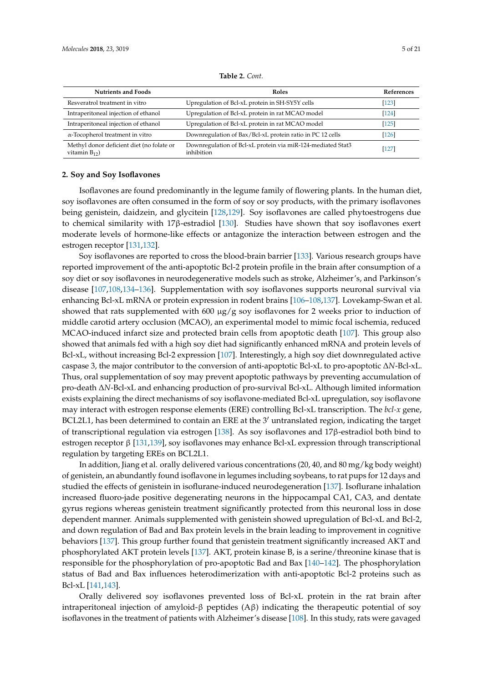<span id="page-4-0"></span>

| <b>Nutrients and Foods</b>                                      | <b>Roles</b>                                                              | <b>References</b> |
|-----------------------------------------------------------------|---------------------------------------------------------------------------|-------------------|
| Resveratrol treatment in vitro                                  | Upregulation of Bcl-xL protein in SH-SY5Y cells                           | [123]             |
| Intraperitoneal injection of ethanol                            | Upregulation of Bcl-xL protein in rat MCAO model                          | [124]             |
| Intraperitoneal injection of ethanol                            | Upregulation of Bcl-xL protein in rat MCAO model                          | [125]             |
| $\alpha$ -Tocopherol treatment in vitro                         | Downregulation of Bax/Bcl-xL protein ratio in PC 12 cells                 | [126]             |
| Methyl donor deficient diet (no folate or<br>vitamin $B_{12}$ ) | Downregulation of Bcl-xL protein via miR-124-mediated Stat3<br>inhibition | $[127]$           |

**Table 2.** *Cont.*

## **2. Soy and Soy Isoflavones**

Isoflavones are found predominantly in the legume family of flowering plants. In the human diet, soy isoflavones are often consumed in the form of soy or soy products, with the primary isoflavones being genistein, daidzein, and glycitein [\[128,](#page-15-14)[129\]](#page-15-15). Soy isoflavones are called phytoestrogens due to chemical similarity with 17β-estradiol [\[130\]](#page-15-16). Studies have shown that soy isoflavones exert moderate levels of hormone-like effects or antagonize the interaction between estrogen and the estrogen receptor [\[131,](#page-15-17)[132\]](#page-16-0).

Soy isoflavones are reported to cross the blood-brain barrier [\[133\]](#page-16-1). Various research groups have reported improvement of the anti-apoptotic Bcl-2 protein profile in the brain after consumption of a soy diet or soy isoflavones in neurodegenerative models such as stroke, Alzheimer's, and Parkinson's disease [\[107,](#page-14-10)[108,](#page-14-11)[134](#page-16-2)[–136\]](#page-16-3). Supplementation with soy isoflavones supports neuronal survival via enhancing Bcl-xL mRNA or protein expression in rodent brains [\[106–](#page-14-9)[108](#page-14-11)[,137\]](#page-16-4). Lovekamp-Swan et al. showed that rats supplemented with 600  $\mu$ g/g soy isoflavones for 2 weeks prior to induction of middle carotid artery occlusion (MCAO), an experimental model to mimic focal ischemia, reduced MCAO-induced infarct size and protected brain cells from apoptotic death [\[107\]](#page-14-10). This group also showed that animals fed with a high soy diet had significantly enhanced mRNA and protein levels of Bcl-xL, without increasing Bcl-2 expression [\[107\]](#page-14-10). Interestingly, a high soy diet downregulated active caspase 3, the major contributor to the conversion of anti-apoptotic Bcl-xL to pro-apoptotic ∆*N*-Bcl-xL. Thus, oral supplementation of soy may prevent apoptotic pathways by preventing accumulation of pro-death ∆*N*-Bcl-xL and enhancing production of pro-survival Bcl-xL. Although limited information exists explaining the direct mechanisms of soy isoflavone-mediated Bcl-xL upregulation, soy isoflavone may interact with estrogen response elements (ERE) controlling Bcl-xL transcription. The *bcl-x* gene, BCL2L1, has been determined to contain an ERE at the  $3'$  untranslated region, indicating the target of transcriptional regulation via estrogen [\[138\]](#page-16-5). As soy isoflavones and 17β-estradiol both bind to estrogen receptor β [\[131,](#page-15-17)[139\]](#page-16-6), soy isoflavones may enhance Bcl-xL expression through transcriptional regulation by targeting EREs on BCL2L1.

In addition, Jiang et al. orally delivered various concentrations (20, 40, and 80 mg/kg body weight) of genistein, an abundantly found isoflavone in legumes including soybeans, to rat pups for 12 days and studied the effects of genistein in isoflurane-induced neurodegeneration [\[137\]](#page-16-4). Isoflurane inhalation increased fluoro-jade positive degenerating neurons in the hippocampal CA1, CA3, and dentate gyrus regions whereas genistein treatment significantly protected from this neuronal loss in dose dependent manner. Animals supplemented with genistein showed upregulation of Bcl-xL and Bcl-2, and down regulation of Bad and Bax protein levels in the brain leading to improvement in cognitive behaviors [\[137\]](#page-16-4). This group further found that genistein treatment significantly increased AKT and phosphorylated AKT protein levels [\[137\]](#page-16-4). AKT, protein kinase B, is a serine/threonine kinase that is responsible for the phosphorylation of pro-apoptotic Bad and Bax [\[140](#page-16-7)[–142\]](#page-16-8). The phosphorylation status of Bad and Bax influences heterodimerization with anti-apoptotic Bcl-2 proteins such as Bcl-xL [\[141,](#page-16-9)[143\]](#page-16-10).

Orally delivered soy isoflavones prevented loss of Bcl-xL protein in the rat brain after intraperitoneal injection of amyloid-β peptides (Aβ) indicating the therapeutic potential of soy isoflavones in the treatment of patients with Alzheimer's disease [\[108\]](#page-14-11). In this study, rats were gavaged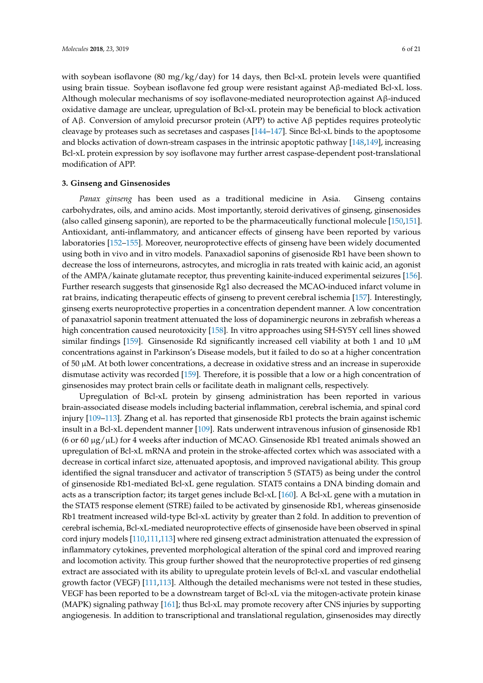with soybean isoflavone (80 mg/kg/day) for 14 days, then Bcl-xL protein levels were quantified using brain tissue. Soybean isoflavone fed group were resistant against Aβ-mediated Bcl-xL loss. Although molecular mechanisms of soy isoflavone-mediated neuroprotection against  $A\beta$ -induced oxidative damage are unclear, upregulation of Bcl-xL protein may be beneficial to block activation of Aβ. Conversion of amyloid precursor protein (APP) to active Aβ peptides requires proteolytic cleavage by proteases such as secretases and caspases [\[144](#page-16-11)[–147\]](#page-16-12). Since Bcl-xL binds to the apoptosome and blocks activation of down-stream caspases in the intrinsic apoptotic pathway [\[148](#page-16-13)[,149\]](#page-16-14), increasing Bcl-xL protein expression by soy isoflavone may further arrest caspase-dependent post-translational modification of APP.

#### **3. Ginseng and Ginsenosides**

*Panax ginseng* has been used as a traditional medicine in Asia. Ginseng contains carbohydrates, oils, and amino acids. Most importantly, steroid derivatives of ginseng, ginsenosides (also called ginseng saponin), are reported to be the pharmaceutically functional molecule [\[150,](#page-16-15)[151\]](#page-16-16). Antioxidant, anti-inflammatory, and anticancer effects of ginseng have been reported by various laboratories [\[152](#page-16-17)[–155\]](#page-17-0). Moreover, neuroprotective effects of ginseng have been widely documented using both in vivo and in vitro models. Panaxadiol saponins of gisenoside Rb1 have been shown to decrease the loss of interneurons, astrocytes, and microglia in rats treated with kainic acid, an agonist of the AMPA/kainate glutamate receptor, thus preventing kainite-induced experimental seizures [\[156\]](#page-17-1). Further research suggests that ginsenoside Rg1 also decreased the MCAO-induced infarct volume in rat brains, indicating therapeutic effects of ginseng to prevent cerebral ischemia [\[157\]](#page-17-2). Interestingly, ginseng exerts neuroprotective properties in a concentration dependent manner. A low concentration of panaxatriol saponin treatment attenuated the loss of dopaminergic neurons in zebrafish whereas a high concentration caused neurotoxicity [\[158\]](#page-17-3). In vitro approaches using SH-SY5Y cell lines showed similar findings [\[159\]](#page-17-4). Ginsenoside Rd significantly increased cell viability at both 1 and 10  $\mu$ M concentrations against in Parkinson's Disease models, but it failed to do so at a higher concentration of 50 µM. At both lower concentrations, a decrease in oxidative stress and an increase in superoxide dismutase activity was recorded [\[159\]](#page-17-4). Therefore, it is possible that a low or a high concentration of ginsenosides may protect brain cells or facilitate death in malignant cells, respectively.

Upregulation of Bcl-xL protein by ginseng administration has been reported in various brain-associated disease models including bacterial inflammation, cerebral ischemia, and spinal cord injury [\[109](#page-14-12)[–113\]](#page-14-16). Zhang et al. has reported that ginsenoside Rb1 protects the brain against ischemic insult in a Bcl-xL dependent manner [\[109\]](#page-14-12). Rats underwent intravenous infusion of ginsenoside Rb1 (6 or 60  $\mu$ g/ $\mu$ L) for 4 weeks after induction of MCAO. Ginsenoside Rb1 treated animals showed an upregulation of Bcl-xL mRNA and protein in the stroke-affected cortex which was associated with a decrease in cortical infarct size, attenuated apoptosis, and improved navigational ability. This group identified the signal transducer and activator of transcription 5 (STAT5) as being under the control of ginsenoside Rb1-mediated Bcl-xL gene regulation. STAT5 contains a DNA binding domain and acts as a transcription factor; its target genes include Bcl-xL [\[160\]](#page-17-5). A Bcl-xL gene with a mutation in the STAT5 response element (STRE) failed to be activated by ginsenoside Rb1, whereas ginsenoside Rb1 treatment increased wild-type Bcl-xL activity by greater than 2 fold. In addition to prevention of cerebral ischemia, Bcl-xL-mediated neuroprotective effects of ginsenoside have been observed in spinal cord injury models [\[110,](#page-14-13)[111,](#page-14-14)[113\]](#page-14-16) where red ginseng extract administration attenuated the expression of inflammatory cytokines, prevented morphological alteration of the spinal cord and improved rearing and locomotion activity. This group further showed that the neuroprotective properties of red ginseng extract are associated with its ability to upregulate protein levels of Bcl-xL and vascular endothelial growth factor (VEGF) [\[111,](#page-14-14)[113\]](#page-14-16). Although the detailed mechanisms were not tested in these studies, VEGF has been reported to be a downstream target of Bcl-xL via the mitogen-activate protein kinase (MAPK) signaling pathway [\[161\]](#page-17-6); thus Bcl-xL may promote recovery after CNS injuries by supporting angiogenesis. In addition to transcriptional and translational regulation, ginsenosides may directly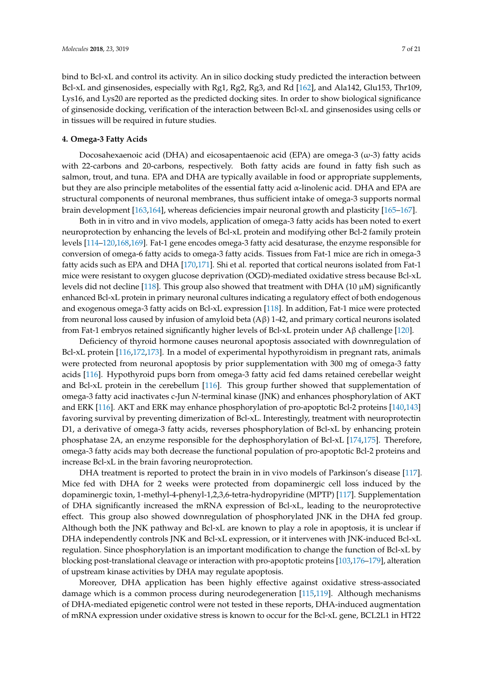bind to Bcl-xL and control its activity. An in silico docking study predicted the interaction between Bcl-xL and ginsenosides, especially with Rg1, Rg2, Rg3, and Rd [\[162\]](#page-17-7), and Ala142, Glu153, Thr109, Lys16, and Lys20 are reported as the predicted docking sites. In order to show biological significance of ginsenoside docking, verification of the interaction between Bcl-xL and ginsenosides using cells or in tissues will be required in future studies.

# **4. Omega-3 Fatty Acids**

Docosahexaenoic acid (DHA) and eicosapentaenoic acid (EPA) are omega-3  $(\omega$ -3) fatty acids with 22-carbons and 20-carbons, respectively. Both fatty acids are found in fatty fish such as salmon, trout, and tuna. EPA and DHA are typically available in food or appropriate supplements, but they are also principle metabolites of the essential fatty acid α-linolenic acid. DHA and EPA are structural components of neuronal membranes, thus sufficient intake of omega-3 supports normal brain development [\[163,](#page-17-8)[164\]](#page-17-9), whereas deficiencies impair neuronal growth and plasticity [\[165](#page-17-10)[–167\]](#page-17-11).

Both in in vitro and in vivo models, application of omega-3 fatty acids has been noted to exert neuroprotection by enhancing the levels of Bcl-xL protein and modifying other Bcl-2 family protein levels [\[114–](#page-15-0)[120,](#page-15-6)[168](#page-17-12)[,169\]](#page-17-13). Fat-1 gene encodes omega-3 fatty acid desaturase, the enzyme responsible for conversion of omega-6 fatty acids to omega-3 fatty acids. Tissues from Fat-1 mice are rich in omega-3 fatty acids such as EPA and DHA [\[170](#page-17-14)[,171\]](#page-17-15). Shi et al. reported that cortical neurons isolated from Fat-1 mice were resistant to oxygen glucose deprivation (OGD)-mediated oxidative stress because Bcl-xL levels did not decline [\[118\]](#page-15-4). This group also showed that treatment with DHA (10  $\mu$ M) significantly enhanced Bcl-xL protein in primary neuronal cultures indicating a regulatory effect of both endogenous and exogenous omega-3 fatty acids on Bcl-xL expression [\[118\]](#page-15-4). In addition, Fat-1 mice were protected from neuronal loss caused by infusion of amyloid beta (Aβ) 1-42, and primary cortical neurons isolated from Fat-1 embryos retained significantly higher levels of Bcl-xL protein under Aβ challenge [\[120\]](#page-15-6).

Deficiency of thyroid hormone causes neuronal apoptosis associated with downregulation of Bcl-xL protein [\[116](#page-15-2)[,172](#page-17-16)[,173\]](#page-18-0). In a model of experimental hypothyroidism in pregnant rats, animals were protected from neuronal apoptosis by prior supplementation with 300 mg of omega-3 fatty acids [\[116\]](#page-15-2). Hypothyroid pups born from omega-3 fatty acid fed dams retained cerebellar weight and Bcl-xL protein in the cerebellum [\[116\]](#page-15-2). This group further showed that supplementation of omega-3 fatty acid inactivates c-Jun *N*-terminal kinase (JNK) and enhances phosphorylation of AKT and ERK [\[116\]](#page-15-2). AKT and ERK may enhance phosphorylation of pro-apoptotic Bcl-2 proteins [\[140,](#page-16-7)[143\]](#page-16-10) favoring survival by preventing dimerization of Bcl-xL. Interestingly, treatment with neuroprotectin D1, a derivative of omega-3 fatty acids, reverses phosphorylation of Bcl-xL by enhancing protein phosphatase 2A, an enzyme responsible for the dephosphorylation of Bcl-xL [\[174](#page-18-1)[,175\]](#page-18-2). Therefore, omega-3 fatty acids may both decrease the functional population of pro-apoptotic Bcl-2 proteins and increase Bcl-xL in the brain favoring neuroprotection.

DHA treatment is reported to protect the brain in in vivo models of Parkinson's disease [\[117\]](#page-15-3). Mice fed with DHA for 2 weeks were protected from dopaminergic cell loss induced by the dopaminergic toxin, 1-methyl-4-phenyl-1,2,3,6-tetra-hydropyridine (MPTP) [\[117\]](#page-15-3). Supplementation of DHA significantly increased the mRNA expression of Bcl-xL, leading to the neuroprotective effect. This group also showed downregulation of phosphorylated JNK in the DHA fed group. Although both the JNK pathway and Bcl-xL are known to play a role in apoptosis, it is unclear if DHA independently controls JNK and Bcl-xL expression, or it intervenes with JNK-induced Bcl-xL regulation. Since phosphorylation is an important modification to change the function of Bcl-xL by blocking post-translational cleavage or interaction with pro-apoptotic proteins [\[103,](#page-14-6)[176–](#page-18-3)[179\]](#page-18-4), alteration of upstream kinase activities by DHA may regulate apoptosis.

Moreover, DHA application has been highly effective against oxidative stress-associated damage which is a common process during neurodegeneration [\[115,](#page-15-1)[119\]](#page-15-5). Although mechanisms of DHA-mediated epigenetic control were not tested in these reports, DHA-induced augmentation of mRNA expression under oxidative stress is known to occur for the Bcl-xL gene, BCL2L1 in HT22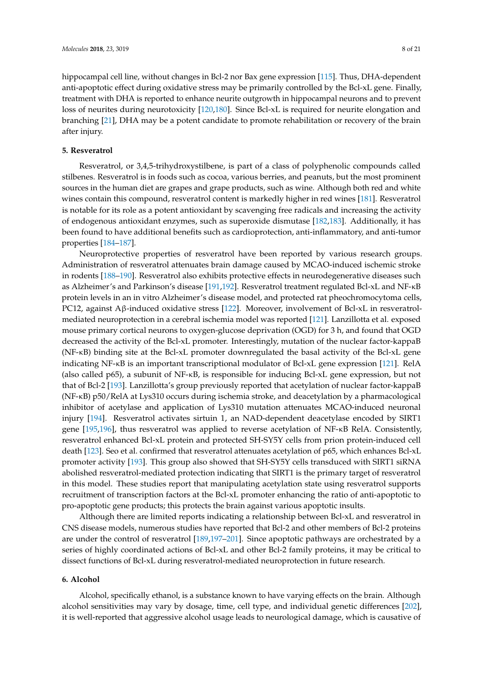hippocampal cell line, without changes in Bcl-2 nor Bax gene expression [\[115\]](#page-15-1). Thus, DHA-dependent anti-apoptotic effect during oxidative stress may be primarily controlled by the Bcl-xL gene. Finally, treatment with DHA is reported to enhance neurite outgrowth in hippocampal neurons and to prevent loss of neurites during neurotoxicity [\[120,](#page-15-6)[180\]](#page-18-5). Since Bcl-xL is required for neurite elongation and branching [\[21\]](#page-9-13), DHA may be a potent candidate to promote rehabilitation or recovery of the brain after injury.

### **5. Resveratrol**

Resveratrol, or 3,4,5-trihydroxystilbene, is part of a class of polyphenolic compounds called stilbenes. Resveratrol is in foods such as cocoa, various berries, and peanuts, but the most prominent sources in the human diet are grapes and grape products, such as wine. Although both red and white wines contain this compound, resveratrol content is markedly higher in red wines [\[181\]](#page-18-6). Resveratrol is notable for its role as a potent antioxidant by scavenging free radicals and increasing the activity of endogenous antioxidant enzymes, such as superoxide dismutase [\[182,](#page-18-7)[183\]](#page-18-8). Additionally, it has been found to have additional benefits such as cardioprotection, anti-inflammatory, and anti-tumor properties [\[184–](#page-18-9)[187\]](#page-18-10).

Neuroprotective properties of resveratrol have been reported by various research groups. Administration of resveratrol attenuates brain damage caused by MCAO-induced ischemic stroke in rodents [\[188–](#page-18-11)[190\]](#page-18-12). Resveratrol also exhibits protective effects in neurodegenerative diseases such as Alzheimer's and Parkinson's disease [\[191](#page-18-13)[,192\]](#page-18-14). Resveratrol treatment regulated Bcl-xL and NF-κB protein levels in an in vitro Alzheimer's disease model, and protected rat pheochromocytoma cells, PC12, against Aβ-induced oxidative stress [\[122\]](#page-15-8). Moreover, involvement of Bcl-xL in resveratrolmediated neuroprotection in a cerebral ischemia model was reported [\[121\]](#page-15-7). Lanzillotta et al. exposed mouse primary cortical neurons to oxygen-glucose deprivation (OGD) for 3 h, and found that OGD decreased the activity of the Bcl-xL promoter. Interestingly, mutation of the nuclear factor-kappaB (NF-κB) binding site at the Bcl-xL promoter downregulated the basal activity of the Bcl-xL gene indicating NF-κB is an important transcriptional modulator of Bcl-xL gene expression [\[121\]](#page-15-7). RelA (also called p65), a subunit of NF-κB, is responsible for inducing Bcl-xL gene expression, but not that of Bcl-2 [\[193\]](#page-19-0). Lanzillotta's group previously reported that acetylation of nuclear factor-kappaB (NF-κB) p50/RelA at Lys310 occurs during ischemia stroke, and deacetylation by a pharmacological inhibitor of acetylase and application of Lys310 mutation attenuates MCAO-induced neuronal injury [\[194\]](#page-19-1). Resveratrol activates sirtuin 1, an NAD-dependent deacetylase encoded by SIRT1 gene [\[195,](#page-19-2)[196\]](#page-19-3), thus resveratrol was applied to reverse acetylation of NF-κB RelA. Consistently, resveratrol enhanced Bcl-xL protein and protected SH-SY5Y cells from prion protein-induced cell death [\[123\]](#page-15-9). Seo et al. confirmed that resveratrol attenuates acetylation of p65, which enhances Bcl-xL promoter activity [\[193\]](#page-19-0). This group also showed that SH-SY5Y cells transduced with SIRT1 siRNA abolished resveratrol-mediated protection indicating that SIRT1 is the primary target of resveratrol in this model. These studies report that manipulating acetylation state using resveratrol supports recruitment of transcription factors at the Bcl-xL promoter enhancing the ratio of anti-apoptotic to pro-apoptotic gene products; this protects the brain against various apoptotic insults.

Although there are limited reports indicating a relationship between Bcl-xL and resveratrol in CNS disease models, numerous studies have reported that Bcl-2 and other members of Bcl-2 proteins are under the control of resveratrol [\[189](#page-18-15)[,197](#page-19-4)[–201\]](#page-19-5). Since apoptotic pathways are orchestrated by a series of highly coordinated actions of Bcl-xL and other Bcl-2 family proteins, it may be critical to dissect functions of Bcl-xL during resveratrol-mediated neuroprotection in future research.

#### **6. Alcohol**

Alcohol, specifically ethanol, is a substance known to have varying effects on the brain. Although alcohol sensitivities may vary by dosage, time, cell type, and individual genetic differences [\[202\]](#page-19-6), it is well-reported that aggressive alcohol usage leads to neurological damage, which is causative of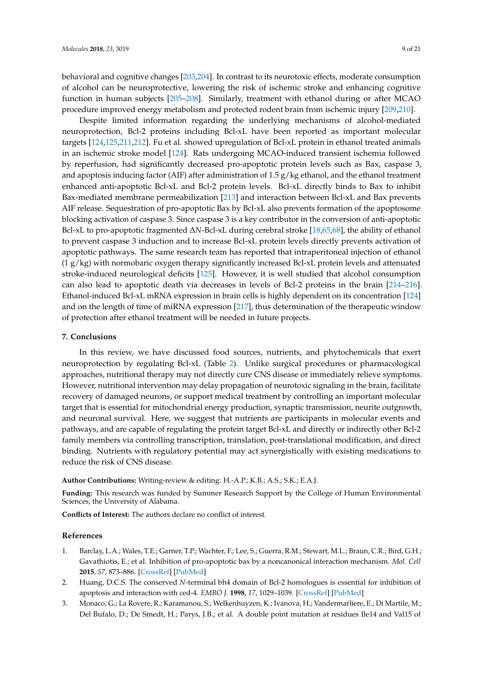behavioral and cognitive changes [\[203](#page-19-7)[,204\]](#page-19-8). In contrast to its neurotoxic effects, moderate consumption of alcohol can be neuroprotective, lowering the risk of ischemic stroke and enhancing cognitive function in human subjects [\[205](#page-19-9)[–208\]](#page-19-10). Similarly, treatment with ethanol during or after MCAO procedure improved energy metabolism and protected rodent brain from ischemic injury [\[209](#page-19-11)[,210\]](#page-19-12).

Despite limited information regarding the underlying mechanisms of alcohol-mediated neuroprotection, Bcl-2 proteins including Bcl-xL have been reported as important molecular targets [\[124,](#page-15-10)[125,](#page-15-11)[211](#page-19-13)[,212\]](#page-20-0). Fu et al. showed upregulation of Bcl-xL protein in ethanol treated animals in an ischemic stroke model [\[124\]](#page-15-10). Rats undergoing MCAO-induced transient ischemia followed by reperfusion, had significantly decreased pro-apoptotic protein levels such as Bax, caspase 3, and apoptosis inducing factor (AIF) after administration of 1.5  $g/kg$  ethanol, and the ethanol treatment enhanced anti-apoptotic Bcl-xL and Bcl-2 protein levels. Bcl-xL directly binds to Bax to inhibit Bax-mediated membrane permeabilization [\[213\]](#page-20-1) and interaction between Bcl-xL and Bax prevents AIF release. Sequestration of pro-apoptotic Bax by Bcl-xL also prevents formation of the apoptosome blocking activation of caspase 3. Since caspase 3 is a key contributor in the conversion of anti-apoptotic Bcl-xL to pro-apoptotic fragmented ∆*N*-Bcl-xL during cerebral stroke [\[18](#page-9-11)[,65](#page-12-3)[,68\]](#page-12-6), the ability of ethanol to prevent caspase 3 induction and to increase Bcl-xL protein levels directly prevents activation of apoptotic pathways. The same research team has reported that intraperitoneal injection of ethanol  $(1 g/kg)$  with normobaric oxygen therapy significantly increased Bcl-xL protein levels and attenuated stroke-induced neurological deficits [\[125\]](#page-15-11). However, it is well studied that alcohol consumption can also lead to apoptotic death via decreases in levels of Bcl-2 proteins in the brain [\[214–](#page-20-2)[216\]](#page-20-3). Ethanol-induced Bcl-xL mRNA expression in brain cells is highly dependent on its concentration [\[124\]](#page-15-10) and on the length of time of miRNA expression [\[217\]](#page-20-4), thus determination of the therapeutic window of protection after ethanol treatment will be needed in future projects.

#### **7. Conclusions**

In this review, we have discussed food sources, nutrients, and phytochemicals that exert neuroprotection by regulating Bcl-xL (Table [2\)](#page-4-0). Unlike surgical procedures or pharmacological approaches, nutritional therapy may not directly cure CNS disease or immediately relieve symptoms. However, nutritional intervention may delay propagation of neurotoxic signaling in the brain, facilitate recovery of damaged neurons, or support medical treatment by controlling an important molecular target that is essential for mitochondrial energy production, synaptic transmission, neurite outgrowth, and neuronal survival. Here, we suggest that nutrients are participants in molecular events and pathways, and are capable of regulating the protein target Bcl-xL and directly or indirectly other Bcl-2 family members via controlling transcription, translation, post-translational modification, and direct binding. Nutrients with regulatory potential may act synergistically with existing medications to reduce the risk of CNS disease.

#### **Author Contributions:** Writing-review & editing: H.-A.P.; K.B.; A.S.; S.K.; E.A.J.

**Funding:** This research was funded by Summer Research Support by the College of Human Environmental Sciences, the University of Alabama.

**Conflicts of Interest:** The authors declare no conflict of interest.

#### **References**

- <span id="page-8-0"></span>1. Barclay, L.A.; Wales, T.E.; Garner, T.P.; Wachter, F.; Lee, S.; Guerra, R.M.; Stewart, M.L.; Braun, C.R.; Bird, G.H.; Gavathiotis, E.; et al. Inhibition of pro-apoptotic bax by a noncanonical interaction mechanism. *Mol. Cell* **2015**, *57*, 873–886. [\[CrossRef\]](http://dx.doi.org/10.1016/j.molcel.2015.01.014) [\[PubMed\]](http://www.ncbi.nlm.nih.gov/pubmed/25684204)
- <span id="page-8-1"></span>2. Huang, D.C.S. The conserved *N*-terminal bh4 domain of Bcl-2 homologues is essential for inhibition of apoptosis and interaction with ced-4. *EMBO J.* **1998**, *17*, 1029–1039. [\[CrossRef\]](http://dx.doi.org/10.1093/emboj/17.4.1029) [\[PubMed\]](http://www.ncbi.nlm.nih.gov/pubmed/9463381)
- <span id="page-8-2"></span>3. Monaco, G.; La Rovere, R.; Karamanou, S.; Welkenhuyzen, K.; Ivanova, H.; Vandermarliere, E.; Di Martile, M.; Del Bufalo, D.; De Smedt, H.; Parys, J.B.; et al. A double point mutation at residues Ile14 and Val15 of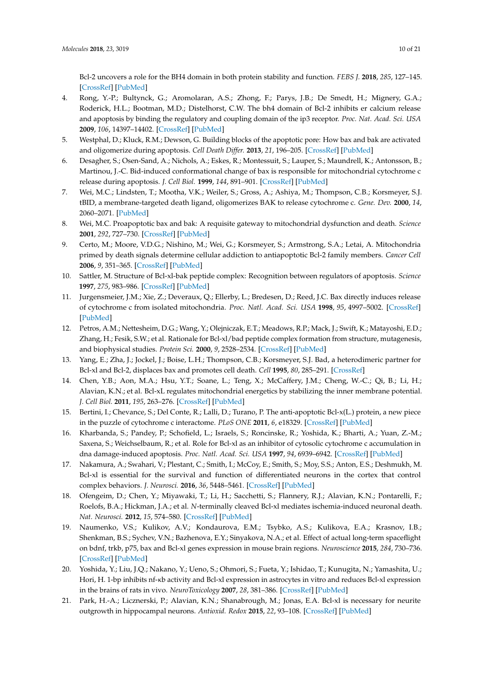Bcl-2 uncovers a role for the BH4 domain in both protein stability and function. *FEBS J.* **2018**, *285*, 127–145. [\[CrossRef\]](http://dx.doi.org/10.1111/febs.14324) [\[PubMed\]](http://www.ncbi.nlm.nih.gov/pubmed/29131545)

- <span id="page-9-0"></span>4. Rong, Y.-P.; Bultynck, G.; Aromolaran, A.S.; Zhong, F.; Parys, J.B.; De Smedt, H.; Mignery, G.A.; Roderick, H.L.; Bootman, M.D.; Distelhorst, C.W. The bh4 domain of Bcl-2 inhibits er calcium release and apoptosis by binding the regulatory and coupling domain of the ip3 receptor. *Proc. Nat. Acad. Sci. USA* **2009**, *106*, 14397–14402. [\[CrossRef\]](http://dx.doi.org/10.1073/pnas.0907555106) [\[PubMed\]](http://www.ncbi.nlm.nih.gov/pubmed/19706527)
- <span id="page-9-1"></span>5. Westphal, D.; Kluck, R.M.; Dewson, G. Building blocks of the apoptotic pore: How bax and bak are activated and oligomerize during apoptosis. *Cell Death Differ.* **2013**, *21*, 196–205. [\[CrossRef\]](http://dx.doi.org/10.1038/cdd.2013.139) [\[PubMed\]](http://www.ncbi.nlm.nih.gov/pubmed/24162660)
- <span id="page-9-2"></span>6. Desagher, S.; Osen-Sand, A.; Nichols, A.; Eskes, R.; Montessuit, S.; Lauper, S.; Maundrell, K.; Antonsson, B.; Martinou, J.-C. Bid-induced conformational change of bax is responsible for mitochondrial cytochrome c release during apoptosis. *J. Cell Biol.* **1999**, *144*, 891–901. [\[CrossRef\]](http://dx.doi.org/10.1083/jcb.144.5.891) [\[PubMed\]](http://www.ncbi.nlm.nih.gov/pubmed/10085289)
- 7. Wei, M.C.; Lindsten, T.; Mootha, V.K.; Weiler, S.; Gross, A.; Ashiya, M.; Thompson, C.B.; Korsmeyer, S.J. tBID, a membrane-targeted death ligand, oligomerizes BAK to release cytochrome c. *Gene. Dev.* **2000**, *14*, 2060–2071. [\[PubMed\]](http://www.ncbi.nlm.nih.gov/pubmed/10950869)
- <span id="page-9-3"></span>8. Wei, M.C. Proapoptotic bax and bak: A requisite gateway to mitochondrial dysfunction and death. *Science* **2001**, *292*, 727–730. [\[CrossRef\]](http://dx.doi.org/10.1126/science.1059108) [\[PubMed\]](http://www.ncbi.nlm.nih.gov/pubmed/11326099)
- <span id="page-9-4"></span>9. Certo, M.; Moore, V.D.G.; Nishino, M.; Wei, G.; Korsmeyer, S.; Armstrong, S.A.; Letai, A. Mitochondria primed by death signals determine cellular addiction to antiapoptotic Bcl-2 family members. *Cancer Cell* **2006**, *9*, 351–365. [\[CrossRef\]](http://dx.doi.org/10.1016/j.ccr.2006.03.027) [\[PubMed\]](http://www.ncbi.nlm.nih.gov/pubmed/16697956)
- <span id="page-9-5"></span>10. Sattler, M. Structure of Bcl-xl-bak peptide complex: Recognition between regulators of apoptosis. *Science* **1997**, *275*, 983–986. [\[CrossRef\]](http://dx.doi.org/10.1126/science.275.5302.983) [\[PubMed\]](http://www.ncbi.nlm.nih.gov/pubmed/9020082)
- 11. Jurgensmeier, J.M.; Xie, Z.; Deveraux, Q.; Ellerby, L.; Bredesen, D.; Reed, J.C. Bax directly induces release of cytochrome c from isolated mitochondria. *Proc. Natl. Acad. Sci. USA* **1998**, *95*, 4997–5002. [\[CrossRef\]](http://dx.doi.org/10.1073/pnas.95.9.4997) [\[PubMed\]](http://www.ncbi.nlm.nih.gov/pubmed/9560217)
- 12. Petros, A.M.; Nettesheim, D.G.; Wang, Y.; Olejniczak, E.T.; Meadows, R.P.; Mack, J.; Swift, K.; Matayoshi, E.D.; Zhang, H.; Fesik, S.W.; et al. Rationale for Bcl-xl/bad peptide complex formation from structure, mutagenesis, and biophysical studies. *Protein Sci.* **2000**, *9*, 2528–2534. [\[CrossRef\]](http://dx.doi.org/10.1110/ps.9.12.2528) [\[PubMed\]](http://www.ncbi.nlm.nih.gov/pubmed/11206074)
- <span id="page-9-6"></span>13. Yang, E.; Zha, J.; Jockel, J.; Boise, L.H.; Thompson, C.B.; Korsmeyer, S.J. Bad, a heterodimeric partner for Bcl-xl and Bcl-2, displaces bax and promotes cell death. *Cell* **1995**, *80*, 285–291. [\[CrossRef\]](http://dx.doi.org/10.1016/0092-8674(95)90411-5)
- <span id="page-9-7"></span>14. Chen, Y.B.; Aon, M.A.; Hsu, Y.T.; Soane, L.; Teng, X.; McCaffery, J.M.; Cheng, W.-C.; Qi, B.; Li, H.; Alavian, K.N.; et al. Bcl-xL regulates mitochondrial energetics by stabilizing the inner membrane potential. *J. Cell Biol.* **2011**, *195*, 263–276. [\[CrossRef\]](http://dx.doi.org/10.1083/jcb.201108059) [\[PubMed\]](http://www.ncbi.nlm.nih.gov/pubmed/21987637)
- 15. Bertini, I.; Chevance, S.; Del Conte, R.; Lalli, D.; Turano, P. The anti-apoptotic Bcl-x(L.) protein, a new piece in the puzzle of cytochrome c interactome. *PLoS ONE* **2011**, *6*, e18329. [\[CrossRef\]](http://dx.doi.org/10.1371/journal.pone.0018329) [\[PubMed\]](http://www.ncbi.nlm.nih.gov/pubmed/21533126)
- <span id="page-9-8"></span>16. Kharbanda, S.; Pandey, P.; Schofield, L.; Israels, S.; Roncinske, R.; Yoshida, K.; Bharti, A.; Yuan, Z.-M.; Saxena, S.; Weichselbaum, R.; et al. Role for Bcl-xl as an inhibitor of cytosolic cytochrome c accumulation in dna damage-induced apoptosis. *Proc. Natl. Acad. Sci. USA* **1997**, *94*, 6939–6942. [\[CrossRef\]](http://dx.doi.org/10.1073/pnas.94.13.6939) [\[PubMed\]](http://www.ncbi.nlm.nih.gov/pubmed/9192670)
- <span id="page-9-9"></span>17. Nakamura, A.; Swahari, V.; Plestant, C.; Smith, I.; McCoy, E.; Smith, S.; Moy, S.S.; Anton, E.S.; Deshmukh, M. Bcl-xl is essential for the survival and function of differentiated neurons in the cortex that control complex behaviors. *J. Neurosci.* **2016**, *36*, 5448–5461. [\[CrossRef\]](http://dx.doi.org/10.1523/JNEUROSCI.4247-15.2016) [\[PubMed\]](http://www.ncbi.nlm.nih.gov/pubmed/27194326)
- <span id="page-9-11"></span>18. Ofengeim, D.; Chen, Y.; Miyawaki, T.; Li, H.; Sacchetti, S.; Flannery, R.J.; Alavian, K.N.; Pontarelli, F.; Roelofs, B.A.; Hickman, J.A.; et al. *N*-terminally cleaved Bcl-xl mediates ischemia-induced neuronal death. *Nat. Neurosci.* **2012**, *15*, 574–580. [\[CrossRef\]](http://dx.doi.org/10.1038/nn.3054) [\[PubMed\]](http://www.ncbi.nlm.nih.gov/pubmed/22366758)
- <span id="page-9-10"></span>19. Naumenko, V.S.; Kulikov, A.V.; Kondaurova, E.M.; Tsybko, A.S.; Kulikova, E.A.; Krasnov, I.B.; Shenkman, B.S.; Sychev, V.N.; Bazhenova, E.Y.; Sinyakova, N.A.; et al. Effect of actual long-term spaceflight on bdnf, trkb, p75, bax and Bcl-xl genes expression in mouse brain regions. *Neuroscience* **2015**, *284*, 730–736. [\[CrossRef\]](http://dx.doi.org/10.1016/j.neuroscience.2014.10.045) [\[PubMed\]](http://www.ncbi.nlm.nih.gov/pubmed/25451288)
- <span id="page-9-12"></span>20. Yoshida, Y.; Liu, J.Q.; Nakano, Y.; Ueno, S.; Ohmori, S.; Fueta, Y.; Ishidao, T.; Kunugita, N.; Yamashita, U.; Hori, H. 1-bp inhibits nf-κb activity and Bcl-xl expression in astrocytes in vitro and reduces Bcl-xl expression in the brains of rats in vivo. *NeuroToxicology* **2007**, *28*, 381–386. [\[CrossRef\]](http://dx.doi.org/10.1016/j.neuro.2006.05.015) [\[PubMed\]](http://www.ncbi.nlm.nih.gov/pubmed/16815550)
- <span id="page-9-13"></span>21. Park, H.-A.; Licznerski, P.; Alavian, K.N.; Shanabrough, M.; Jonas, E.A. Bcl-xl is necessary for neurite outgrowth in hippocampal neurons. *Antioxid. Redox* **2015**, *22*, 93–108. [\[CrossRef\]](http://dx.doi.org/10.1089/ars.2013.5570) [\[PubMed\]](http://www.ncbi.nlm.nih.gov/pubmed/24787232)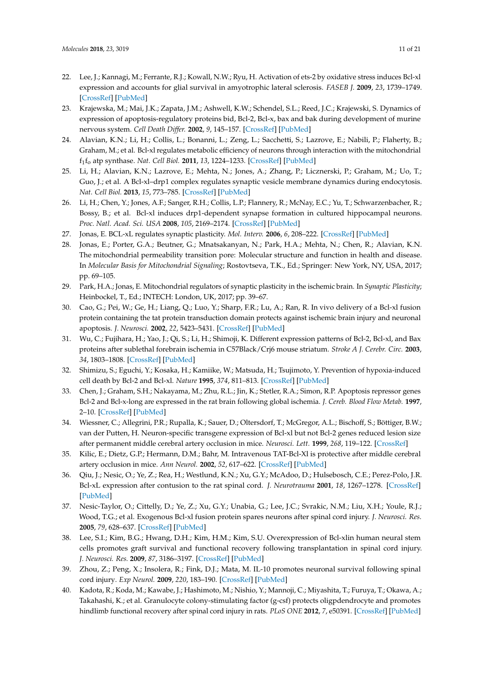- <span id="page-10-0"></span>22. Lee, J.; Kannagi, M.; Ferrante, R.J.; Kowall, N.W.; Ryu, H. Activation of ets-2 by oxidative stress induces Bcl-xl expression and accounts for glial survival in amyotrophic lateral sclerosis. *FASEB J.* **2009**, *23*, 1739–1749. [\[CrossRef\]](http://dx.doi.org/10.1096/fj.08-121046) [\[PubMed\]](http://www.ncbi.nlm.nih.gov/pubmed/19179380)
- <span id="page-10-1"></span>23. Krajewska, M.; Mai, J.K.; Zapata, J.M.; Ashwell, K.W.; Schendel, S.L.; Reed, J.C.; Krajewski, S. Dynamics of expression of apoptosis-regulatory proteins bid, Bcl-2, Bcl-x, bax and bak during development of murine nervous system. *Cell Death Differ.* **2002**, *9*, 145–157. [\[CrossRef\]](http://dx.doi.org/10.1038/sj.cdd.4400934) [\[PubMed\]](http://www.ncbi.nlm.nih.gov/pubmed/11840165)
- <span id="page-10-2"></span>24. Alavian, K.N.; Li, H.; Collis, L.; Bonanni, L.; Zeng, L.; Sacchetti, S.; Lazrove, E.; Nabili, P.; Flaherty, B.; Graham, M.; et al. Bcl-xl regulates metabolic efficiency of neurons through interaction with the mitochondrial f1 fo atp synthase. *Nat. Cell Biol.* **2011**, *13*, 1224–1233. [\[CrossRef\]](http://dx.doi.org/10.1038/ncb2330) [\[PubMed\]](http://www.ncbi.nlm.nih.gov/pubmed/21926988)
- <span id="page-10-3"></span>25. Li, H.; Alavian, K.N.; Lazrove, E.; Mehta, N.; Jones, A.; Zhang, P.; Licznerski, P.; Graham, M.; Uo, T.; Guo, J.; et al. A Bcl-xl–drp1 complex regulates synaptic vesicle membrane dynamics during endocytosis. *Nat. Cell Biol.* **2013**, *15*, 773–785. [\[CrossRef\]](http://dx.doi.org/10.1038/ncb2791) [\[PubMed\]](http://www.ncbi.nlm.nih.gov/pubmed/23792689)
- <span id="page-10-11"></span>26. Li, H.; Chen, Y.; Jones, A.F.; Sanger, R.H.; Collis, L.P.; Flannery, R.; McNay, E.C.; Yu, T.; Schwarzenbacher, R.; Bossy, B.; et al. Bcl-xl induces drp1-dependent synapse formation in cultured hippocampal neurons. *Proc. Natl. Acad. Sci. USA* **2008**, *105*, 2169–2174. [\[CrossRef\]](http://dx.doi.org/10.1073/pnas.0711647105) [\[PubMed\]](http://www.ncbi.nlm.nih.gov/pubmed/18250306)
- <span id="page-10-4"></span>27. Jonas, E. BCL-xL regulates synaptic plasticity. *Mol. Interv.* **2006**, *6*, 208–222. [\[CrossRef\]](http://dx.doi.org/10.1124/mi.6.4.7) [\[PubMed\]](http://www.ncbi.nlm.nih.gov/pubmed/16960143)
- <span id="page-10-5"></span>28. Jonas, E.; Porter, G.A.; Beutner, G.; Mnatsakanyan, N.; Park, H.A.; Mehta, N.; Chen, R.; Alavian, K.N. The mitochondrial permeability transition pore: Molecular structure and function in health and disease. In *Molecular Basis for Mitochondrial Signaling*; Rostovtseva, T.K., Ed.; Springer: New York, NY, USA, 2017; pp. 69–105.
- <span id="page-10-6"></span>29. Park, H.A.; Jonas, E. Mitochondrial regulators of synaptic plasticity in the ischemic brain. In *Synaptic Plasticity*; Heinbockel, T., Ed.; INTECH: London, UK, 2017; pp. 39–67.
- <span id="page-10-7"></span>30. Cao, G.; Pei, W.; Ge, H.; Liang, Q.; Luo, Y.; Sharp, F.R.; Lu, A.; Ran, R. In vivo delivery of a Bcl-xl fusion protein containing the tat protein transduction domain protects against ischemic brain injury and neuronal apoptosis. *J. Neurosci.* **2002**, *22*, 5423–5431. [\[CrossRef\]](http://dx.doi.org/10.1523/JNEUROSCI.22-13-05423.2002) [\[PubMed\]](http://www.ncbi.nlm.nih.gov/pubmed/12097494)
- 31. Wu, C.; Fujihara, H.; Yao, J.; Qi, S.; Li, H.; Shimoji, K. Different expression patterns of Bcl-2, Bcl-xl, and Bax proteins after sublethal forebrain ischemia in C57Black/Crj6 mouse striatum. *Stroke A J. Cerebr. Circ.* **2003**, *34*, 1803–1808. [\[CrossRef\]](http://dx.doi.org/10.1161/01.STR.0000077255.15597.69) [\[PubMed\]](http://www.ncbi.nlm.nih.gov/pubmed/12791942)
- 32. Shimizu, S.; Eguchi, Y.; Kosaka, H.; Kamiike, W.; Matsuda, H.; Tsujimoto, Y. Prevention of hypoxia-induced cell death by Bcl-2 and Bcl-xl. *Nature* **1995**, *374*, 811–813. [\[CrossRef\]](http://dx.doi.org/10.1038/374811a0) [\[PubMed\]](http://www.ncbi.nlm.nih.gov/pubmed/7723826)
- 33. Chen, J.; Graham, S.H.; Nakayama, M.; Zhu, R.L.; Jin, K.; Stetler, R.A.; Simon, R.P. Apoptosis repressor genes Bcl-2 and Bcl-x-long are expressed in the rat brain following global ischemia. *J. Cereb. Blood Flow Metab.* **1997**, 2–10. [\[CrossRef\]](http://dx.doi.org/10.1097/00004647-199701000-00002) [\[PubMed\]](http://www.ncbi.nlm.nih.gov/pubmed/8978381)
- 34. Wiessner, C.; Allegrini, P.R.; Rupalla, K.; Sauer, D.; Oltersdorf, T.; McGregor, A.L.; Bischoff, S.; Böttiger, B.W.; van der Putten, H. Neuron-specific transgene expression of Bcl-xl but not Bcl-2 genes reduced lesion size after permanent middle cerebral artery occlusion in mice. *Neurosci. Lett.* **1999**, *268*, 119–122. [\[CrossRef\]](http://dx.doi.org/10.1016/S0304-3940(99)00392-4)
- <span id="page-10-8"></span>35. Kilic, E.; Dietz, G.P.; Hermann, D.M.; Bahr, M. Intravenous TAT-Bcl-Xl is protective after middle cerebral artery occlusion in mice. *Ann Neurol.* **2002**, *52*, 617–622. [\[CrossRef\]](http://dx.doi.org/10.1002/ana.10356) [\[PubMed\]](http://www.ncbi.nlm.nih.gov/pubmed/12402259)
- <span id="page-10-9"></span>36. Qiu, J.; Nesic, O.; Ye, Z.; Rea, H.; Westlund, K.N.; Xu, G.Y.; McAdoo, D.; Hulsebosch, C.E.; Perez-Polo, J.R. Bcl-xL expression after contusion to the rat spinal cord. *J. Neurotrauma* **2001**, *18*, 1267–1278. [\[CrossRef\]](http://dx.doi.org/10.1089/089771501317095304) [\[PubMed\]](http://www.ncbi.nlm.nih.gov/pubmed/11721745)
- 37. Nesic-Taylor, O.; Cittelly, D.; Ye, Z.; Xu, G.Y.; Unabia, G.; Lee, J.C.; Svrakic, N.M.; Liu, X.H.; Youle, R.J.; Wood, T.G.; et al. Exogenous Bcl-xl fusion protein spares neurons after spinal cord injury. *J. Neurosci. Res.* **2005**, *79*, 628–637. [\[CrossRef\]](http://dx.doi.org/10.1002/jnr.20400) [\[PubMed\]](http://www.ncbi.nlm.nih.gov/pubmed/15668909)
- 38. Lee, S.I.; Kim, B.G.; Hwang, D.H.; Kim, H.M.; Kim, S.U. Overexpression of Bcl-xlin human neural stem cells promotes graft survival and functional recovery following transplantation in spinal cord injury. *J. Neurosci. Res.* **2009**, *87*, 3186–3197. [\[CrossRef\]](http://dx.doi.org/10.1002/jnr.22149) [\[PubMed\]](http://www.ncbi.nlm.nih.gov/pubmed/19530162)
- 39. Zhou, Z.; Peng, X.; Insolera, R.; Fink, D.J.; Mata, M. IL-10 promotes neuronal survival following spinal cord injury. *Exp Neurol.* **2009**, *220*, 183–190. [\[CrossRef\]](http://dx.doi.org/10.1016/j.expneurol.2009.08.018) [\[PubMed\]](http://www.ncbi.nlm.nih.gov/pubmed/19716366)
- <span id="page-10-10"></span>40. Kadota, R.; Koda, M.; Kawabe, J.; Hashimoto, M.; Nishio, Y.; Mannoji, C.; Miyashita, T.; Furuya, T.; Okawa, A.; Takahashi, K.; et al. Granulocyte colony-stimulating factor (g-csf) protects oligpdendrocyte and promotes hindlimb functional recovery after spinal cord injury in rats. *PLoS ONE* **2012**, *7*, e50391. [\[CrossRef\]](http://dx.doi.org/10.1371/journal.pone.0050391) [\[PubMed\]](http://www.ncbi.nlm.nih.gov/pubmed/23209732)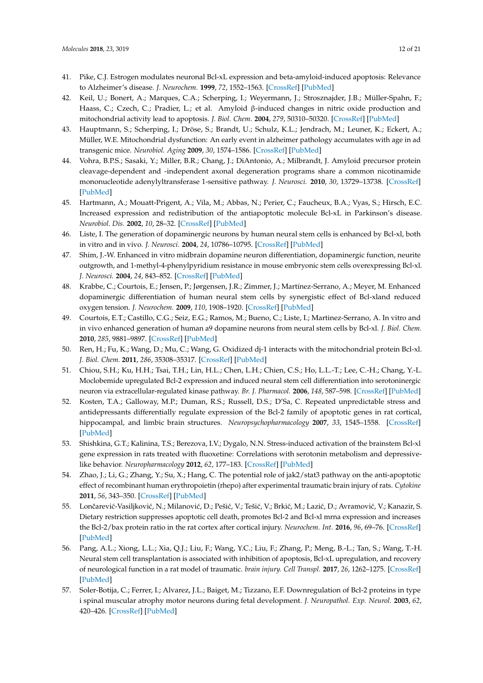- <span id="page-11-0"></span>41. Pike, C.J. Estrogen modulates neuronal Bcl-xL expression and beta-amyloid-induced apoptosis: Relevance to Alzheimer's disease. *J. Neurochem.* **1999**, *72*, 1552–1563. [\[CrossRef\]](http://dx.doi.org/10.1046/j.1471-4159.1999.721552.x) [\[PubMed\]](http://www.ncbi.nlm.nih.gov/pubmed/10098861)
- 42. Keil, U.; Bonert, A.; Marques, C.A.; Scherping, I.; Weyermann, J.; Strosznajder, J.B.; Müller-Spahn, F.; Haass, C.; Czech, C.; Pradier, L.; et al. Amyloid β-induced changes in nitric oxide production and mitochondrial activity lead to apoptosis. *J. Biol. Chem.* **2004**, *279*, 50310–50320. [\[CrossRef\]](http://dx.doi.org/10.1074/jbc.M405600200) [\[PubMed\]](http://www.ncbi.nlm.nih.gov/pubmed/15371443)
- 43. Hauptmann, S.; Scherping, I.; Dröse, S.; Brandt, U.; Schulz, K.L.; Jendrach, M.; Leuner, K.; Eckert, A.; Müller, W.E. Mitochondrial dysfunction: An early event in alzheimer pathology accumulates with age in ad transgenic mice. *Neurobiol. Aging* **2009**, *30*, 1574–1586. [\[CrossRef\]](http://dx.doi.org/10.1016/j.neurobiolaging.2007.12.005) [\[PubMed\]](http://www.ncbi.nlm.nih.gov/pubmed/18295378)
- <span id="page-11-1"></span>44. Vohra, B.P.S.; Sasaki, Y.; Miller, B.R.; Chang, J.; DiAntonio, A.; Milbrandt, J. Amyloid precursor protein cleavage-dependent and -independent axonal degeneration programs share a common nicotinamide mononucleotide adenylyltransferase 1-sensitive pathway. *J. Neurosci.* **2010**, *30*, 13729–13738. [\[CrossRef\]](http://dx.doi.org/10.1523/JNEUROSCI.2939-10.2010) [\[PubMed\]](http://www.ncbi.nlm.nih.gov/pubmed/20943913)
- <span id="page-11-2"></span>45. Hartmann, A.; Mouatt-Prigent, A.; Vila, M.; Abbas, N.; Perier, C.; Faucheux, B.A.; Vyas, S.; Hirsch, E.C. Increased expression and redistribution of the antiapoptotic molecule Bcl-xL in Parkinson's disease. *Neurobiol. Dis.* **2002**, *10*, 28–32. [\[CrossRef\]](http://dx.doi.org/10.1006/nbdi.2002.0494) [\[PubMed\]](http://www.ncbi.nlm.nih.gov/pubmed/12079401)
- 46. Liste, I. The generation of dopaminergic neurons by human neural stem cells is enhanced by Bcl-xl, both in vitro and in vivo. *J. Neurosci.* **2004**, *24*, 10786–10795. [\[CrossRef\]](http://dx.doi.org/10.1523/JNEUROSCI.3208-04.2004) [\[PubMed\]](http://www.ncbi.nlm.nih.gov/pubmed/15574729)
- 47. Shim, J.-W. Enhanced in vitro midbrain dopamine neuron differentiation, dopaminergic function, neurite outgrowth, and 1-methyl-4-phenylpyridium resistance in mouse embryonic stem cells overexpressing Bcl-xl. *J. Neurosci.* **2004**, *24*, 843–852. [\[CrossRef\]](http://dx.doi.org/10.1523/JNEUROSCI.3977-03.2004) [\[PubMed\]](http://www.ncbi.nlm.nih.gov/pubmed/14749429)
- 48. Krabbe, C.; Courtois, E.; Jensen, P.; Jørgensen, J.R.; Zimmer, J.; Martínez-Serrano, A.; Meyer, M. Enhanced dopaminergic differentiation of human neural stem cells by synergistic effect of Bcl-xland reduced oxygen tension. *J. Neurochem.* **2009**, *110*, 1908–1920. [\[CrossRef\]](http://dx.doi.org/10.1111/j.1471-4159.2009.06281.x) [\[PubMed\]](http://www.ncbi.nlm.nih.gov/pubmed/19627448)
- 49. Courtois, E.T.; Castillo, C.G.; Seiz, E.G.; Ramos, M.; Bueno, C.; Liste, I.; Martinez-Serrano, A. In vitro and in vivo enhanced generation of human a9 dopamine neurons from neural stem cells by Bcl-xl. *J. Biol. Chem.* **2010**, *285*, 9881–9897. [\[CrossRef\]](http://dx.doi.org/10.1074/jbc.M109.054312) [\[PubMed\]](http://www.ncbi.nlm.nih.gov/pubmed/20106970)
- <span id="page-11-3"></span>50. Ren, H.; Fu, K.; Wang, D.; Mu, C.; Wang, G. Oxidized dj-1 interacts with the mitochondrial protein Bcl-xl. *J. Biol. Chem.* **2011**, *286*, 35308–35317. [\[CrossRef\]](http://dx.doi.org/10.1074/jbc.M110.207134) [\[PubMed\]](http://www.ncbi.nlm.nih.gov/pubmed/21852238)
- <span id="page-11-4"></span>51. Chiou, S.H.; Ku, H.H.; Tsai, T.H.; Lin, H.L.; Chen, L.H.; Chien, C.S.; Ho, L.L.-T.; Lee, C.-H.; Chang, Y.-L. Moclobemide upregulated Bcl-2 expression and induced neural stem cell differentiation into serotoninergic neuron via extracellular-regulated kinase pathway. *Br. J. Pharmacol.* **2006**, *148*, 587–598. [\[CrossRef\]](http://dx.doi.org/10.1038/sj.bjp.0706766) [\[PubMed\]](http://www.ncbi.nlm.nih.gov/pubmed/16702990)
- 52. Kosten, T.A.; Galloway, M.P.; Duman, R.S.; Russell, D.S.; D'Sa, C. Repeated unpredictable stress and antidepressants differentially regulate expression of the Bcl-2 family of apoptotic genes in rat cortical, hippocampal, and limbic brain structures. *Neuropsychopharmacology* **2007**, *33*, 1545–1558. [\[CrossRef\]](http://dx.doi.org/10.1038/sj.npp.1301527) [\[PubMed\]](http://www.ncbi.nlm.nih.gov/pubmed/17700647)
- <span id="page-11-5"></span>53. Shishkina, G.T.; Kalinina, T.S.; Berezova, I.V.; Dygalo, N.N. Stress-induced activation of the brainstem Bcl-xl gene expression in rats treated with fluoxetine: Correlations with serotonin metabolism and depressivelike behavior. *Neuropharmacology* **2012**, *62*, 177–183. [\[CrossRef\]](http://dx.doi.org/10.1016/j.neuropharm.2011.06.016) [\[PubMed\]](http://www.ncbi.nlm.nih.gov/pubmed/21740920)
- <span id="page-11-6"></span>54. Zhao, J.; Li, G.; Zhang, Y.; Su, X.; Hang, C. The potential role of jak2/stat3 pathway on the anti-apoptotic effect of recombinant human erythropoietin (rhepo) after experimental traumatic brain injury of rats. *Cytokine* **2011**, *56*, 343–350. [\[CrossRef\]](http://dx.doi.org/10.1016/j.cyto.2011.07.018) [\[PubMed\]](http://www.ncbi.nlm.nih.gov/pubmed/21843949)
- 55. Lončarević-Vasiljković, N.; Milanović, D.; Pešić, V.; Tešić, V.; Brkić, M.; Lazić, D.; Avramović, V.; Kanazir, S. Dietary restriction suppresses apoptotic cell death, promotes Bcl-2 and Bcl-xl mrna expression and increases the Bcl-2/bax protein ratio in the rat cortex after cortical injury. *Neurochem. Int.* **2016**, *96*, 69–76. [\[CrossRef\]](http://dx.doi.org/10.1016/j.neuint.2016.02.017) [\[PubMed\]](http://www.ncbi.nlm.nih.gov/pubmed/26939764)
- <span id="page-11-7"></span>56. Pang, A.L.; Xiong, L.L.; Xia, Q.J.; Liu, F.; Wang, Y.C.; Liu, F.; Zhang, P.; Meng, B.-L.; Tan, S.; Wang, T.-H. Neural stem cell transplantation is associated with inhibition of apoptosis, Bcl-xL upregulation, and recovery of neurological function in a rat model of traumatic. *brain injury. Cell Transpl.* **2017**, *26*, 1262–1275. [\[CrossRef\]](http://dx.doi.org/10.1177/0963689717715168) [\[PubMed\]](http://www.ncbi.nlm.nih.gov/pubmed/28933221)
- <span id="page-11-8"></span>57. Soler-Botija, C.; Ferrer, I.; Alvarez, J.L.; Baiget, M.; Tizzano, E.F. Downregulation of Bcl-2 proteins in type i spinal muscular atrophy motor neurons during fetal development. *J. Neuropathol. Exp. Neurol.* **2003**, *62*, 420–426. [\[CrossRef\]](http://dx.doi.org/10.1093/jnen/62.4.420) [\[PubMed\]](http://www.ncbi.nlm.nih.gov/pubmed/12722834)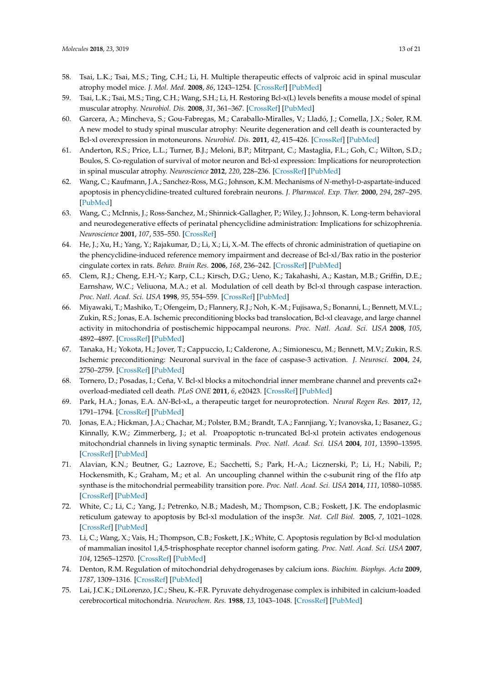- 58. Tsai, L.K.; Tsai, M.S.; Ting, C.H.; Li, H. Multiple therapeutic effects of valproic acid in spinal muscular atrophy model mice. *J. Mol. Med.* **2008**, *86*, 1243–1254. [\[CrossRef\]](http://dx.doi.org/10.1007/s00109-008-0388-1) [\[PubMed\]](http://www.ncbi.nlm.nih.gov/pubmed/18649067)
- 59. Tsai, L.K.; Tsai, M.S.; Ting, C.H.; Wang, S.H.; Li, H. Restoring Bcl-x(L) levels benefits a mouse model of spinal muscular atrophy. *Neurobiol. Dis.* **2008**, *31*, 361–367. [\[CrossRef\]](http://dx.doi.org/10.1016/j.nbd.2008.05.014) [\[PubMed\]](http://www.ncbi.nlm.nih.gov/pubmed/18590823)
- 60. Garcera, A.; Mincheva, S.; Gou-Fabregas, M.; Caraballo-Miralles, V.; Lladó, J.; Comella, J.X.; Soler, R.M. A new model to study spinal muscular atrophy: Neurite degeneration and cell death is counteracted by Bcl-xl overexpression in motoneurons. *Neurobiol. Dis.* **2011**, *42*, 415–426. [\[CrossRef\]](http://dx.doi.org/10.1016/j.nbd.2011.02.003) [\[PubMed\]](http://www.ncbi.nlm.nih.gov/pubmed/21333739)
- <span id="page-12-0"></span>61. Anderton, R.S.; Price, L.L.; Turner, B.J.; Meloni, B.P.; Mitrpant, C.; Mastaglia, F.L.; Goh, C.; Wilton, S.D.; Boulos, S. Co-regulation of survival of motor neuron and Bcl-xl expression: Implications for neuroprotection in spinal muscular atrophy. *Neuroscience* **2012**, *220*, 228–236. [\[CrossRef\]](http://dx.doi.org/10.1016/j.neuroscience.2012.06.042) [\[PubMed\]](http://www.ncbi.nlm.nih.gov/pubmed/22732506)
- <span id="page-12-1"></span>62. Wang, C.; Kaufmann, J.A.; Sanchez-Ross, M.G.; Johnson, K.M. Mechanisms of *N*-methyl-D-aspartate-induced apoptosis in phencyclidine-treated cultured forebrain neurons. *J. Pharmacol. Exp. Ther.* **2000**, *294*, 287–295. [\[PubMed\]](http://www.ncbi.nlm.nih.gov/pubmed/10871324)
- 63. Wang, C.; McInnis, J.; Ross-Sanchez, M.; Shinnick-Gallagher, P.; Wiley, J.; Johnson, K. Long-term behavioral and neurodegenerative effects of perinatal phencyclidine administration: Implications for schizophrenia. *Neuroscience* **2001**, *107*, 535–550. [\[CrossRef\]](http://dx.doi.org/10.1016/S0306-4522(01)00384-0)
- <span id="page-12-2"></span>64. He, J.; Xu, H.; Yang, Y.; Rajakumar, D.; Li, X.; Li, X.-M. The effects of chronic administration of quetiapine on the phencyclidine-induced reference memory impairment and decrease of Bcl-xl/Bax ratio in the posterior cingulate cortex in rats. *Behav. Brain Res.* **2006**, *168*, 236–242. [\[CrossRef\]](http://dx.doi.org/10.1016/j.bbr.2005.11.014) [\[PubMed\]](http://www.ncbi.nlm.nih.gov/pubmed/16360889)
- <span id="page-12-3"></span>65. Clem, R.J.; Cheng, E.H.-Y.; Karp, C.L.; Kirsch, D.G.; Ueno, K.; Takahashi, A.; Kastan, M.B.; Griffin, D.E.; Earnshaw, W.C.; Veliuona, M.A.; et al. Modulation of cell death by Bcl-xl through caspase interaction. *Proc. Natl. Acad. Sci. USA* **1998**, *95*, 554–559. [\[CrossRef\]](http://dx.doi.org/10.1073/pnas.95.2.554) [\[PubMed\]](http://www.ncbi.nlm.nih.gov/pubmed/9435230)
- <span id="page-12-4"></span>66. Miyawaki, T.; Mashiko, T.; Ofengeim, D.; Flannery, R.J.; Noh, K.-M.; Fujisawa, S.; Bonanni, L.; Bennett, M.V.L.; Zukin, R.S.; Jonas, E.A. Ischemic preconditioning blocks bad translocation, Bcl-xl cleavage, and large channel activity in mitochondria of postischemic hippocampal neurons. *Proc. Natl. Acad. Sci. USA* **2008**, *105*, 4892–4897. [\[CrossRef\]](http://dx.doi.org/10.1073/pnas.0800628105) [\[PubMed\]](http://www.ncbi.nlm.nih.gov/pubmed/18347331)
- <span id="page-12-5"></span>67. Tanaka, H.; Yokota, H.; Jover, T.; Cappuccio, I.; Calderone, A.; Simionescu, M.; Bennett, M.V.; Zukin, R.S. Ischemic preconditioning: Neuronal survival in the face of caspase-3 activation. *J. Neurosci.* **2004**, *24*, 2750–2759. [\[CrossRef\]](http://dx.doi.org/10.1523/JNEUROSCI.5475-03.2004) [\[PubMed\]](http://www.ncbi.nlm.nih.gov/pubmed/15028768)
- <span id="page-12-6"></span>68. Tornero, D.; Posadas, I.; Ceña, V. Bcl-xl blocks a mitochondrial inner membrane channel and prevents ca2+ overload-mediated cell death. *PLoS ONE* **2011**, *6*, e20423. [\[CrossRef\]](http://dx.doi.org/10.1371/journal.pone.0020423) [\[PubMed\]](http://www.ncbi.nlm.nih.gov/pubmed/21674052)
- 69. Park, H.A.; Jonas, E.A. ∆*N*-Bcl-xL, a therapeutic target for neuroprotection. *Neural Regen Res.* **2017**, *12*, 1791–1794. [\[CrossRef\]](http://dx.doi.org/10.4103/1673-5374.219033) [\[PubMed\]](http://www.ncbi.nlm.nih.gov/pubmed/29239317)
- <span id="page-12-7"></span>70. Jonas, E.A.; Hickman, J.A.; Chachar, M.; Polster, B.M.; Brandt, T.A.; Fannjiang, Y.; Ivanovska, I.; Basanez, G.; Kinnally, K.W.; Zimmerberg, J.; et al. Proapoptotic n-truncated Bcl-xl protein activates endogenous mitochondrial channels in living synaptic terminals. *Proc. Natl. Acad. Sci. USA* **2004**, *101*, 13590–13595. [\[CrossRef\]](http://dx.doi.org/10.1073/pnas.0401372101) [\[PubMed\]](http://www.ncbi.nlm.nih.gov/pubmed/15342906)
- <span id="page-12-8"></span>71. Alavian, K.N.; Beutner, G.; Lazrove, E.; Sacchetti, S.; Park, H.-A.; Licznerski, P.; Li, H.; Nabili, P.; Hockensmith, K.; Graham, M.; et al. An uncoupling channel within the c-subunit ring of the f1fo atp synthase is the mitochondrial permeability transition pore. *Proc. Natl. Acad. Sci. USA* **2014**, *111*, 10580–10585. [\[CrossRef\]](http://dx.doi.org/10.1073/pnas.1401591111) [\[PubMed\]](http://www.ncbi.nlm.nih.gov/pubmed/24979777)
- <span id="page-12-9"></span>72. White, C.; Li, C.; Yang, J.; Petrenko, N.B.; Madesh, M.; Thompson, C.B.; Foskett, J.K. The endoplasmic reticulum gateway to apoptosis by Bcl-xl modulation of the insp3r. *Nat. Cell Biol.* **2005**, *7*, 1021–1028. [\[CrossRef\]](http://dx.doi.org/10.1038/ncb1302) [\[PubMed\]](http://www.ncbi.nlm.nih.gov/pubmed/16179951)
- <span id="page-12-10"></span>73. Li, C.; Wang, X.; Vais, H.; Thompson, C.B.; Foskett, J.K.; White, C. Apoptosis regulation by Bcl-xl modulation of mammalian inositol 1,4,5-trisphosphate receptor channel isoform gating. *Proc. Natl. Acad. Sci. USA* **2007**, *104*, 12565–12570. [\[CrossRef\]](http://dx.doi.org/10.1073/pnas.0702489104) [\[PubMed\]](http://www.ncbi.nlm.nih.gov/pubmed/17636122)
- <span id="page-12-11"></span>74. Denton, R.M. Regulation of mitochondrial dehydrogenases by calcium ions. *Biochim. Biophys. Acta* **2009**, *1787*, 1309–1316. [\[CrossRef\]](http://dx.doi.org/10.1016/j.bbabio.2009.01.005) [\[PubMed\]](http://www.ncbi.nlm.nih.gov/pubmed/19413950)
- 75. Lai, J.C.K.; DiLorenzo, J.C.; Sheu, K.-F.R. Pyruvate dehydrogenase complex is inhibited in calcium-loaded cerebrocortical mitochondria. *Neurochem. Res.* **1988**, *13*, 1043–1048. [\[CrossRef\]](http://dx.doi.org/10.1007/BF00973148) [\[PubMed\]](http://www.ncbi.nlm.nih.gov/pubmed/3237304)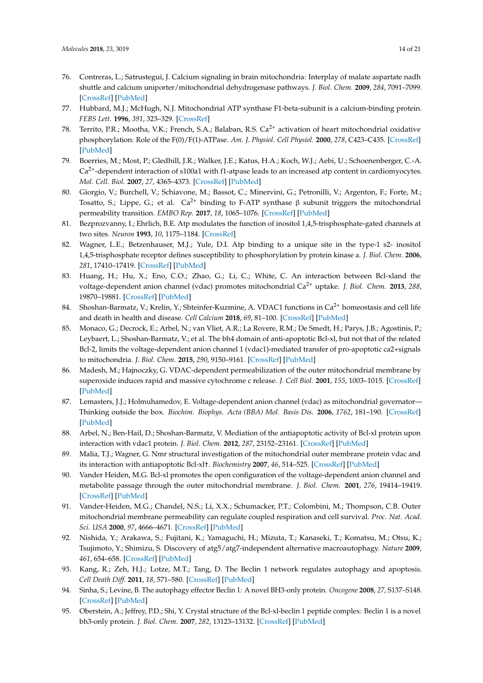- <span id="page-13-0"></span>76. Contreras, L.; Satrustegui, J. Calcium signaling in brain mitochondria: Interplay of malate aspartate nadh shuttle and calcium uniporter/mitochondrial dehydrogenase pathways. *J. Biol. Chem.* **2009**, *284*, 7091–7099. [\[CrossRef\]](http://dx.doi.org/10.1074/jbc.M808066200) [\[PubMed\]](http://www.ncbi.nlm.nih.gov/pubmed/19129175)
- <span id="page-13-1"></span>77. Hubbard, M.J.; McHugh, N.J. Mitochondrial ATP synthase F1-beta-subunit is a calcium-binding protein. *FEBS Lett.* **1996**, *391*, 323–329. [\[CrossRef\]](http://dx.doi.org/10.1016/0014-5793(96)00767-3)
- 78. Territo, P.R.; Mootha, V.K.; French, S.A.; Balaban, R.S. Ca<sup>2+</sup> activation of heart mitochondrial oxidative phosphorylation: Role of the F(0)/F(1)-ATPase. *Am. J. Physiol. Cell Physiol.* **2000**, *278*, C423–C435. [\[CrossRef\]](http://dx.doi.org/10.1152/ajpcell.2000.278.2.C423) [\[PubMed\]](http://www.ncbi.nlm.nih.gov/pubmed/10666039)
- <span id="page-13-2"></span>79. Boerries, M.; Most, P.; Gledhill, J.R.; Walker, J.E.; Katus, H.A.; Koch, W.J.; Aebi, U.; Schoenenberger, C.-A.  $Ca<sup>2+</sup>$ -dependent interaction of s100a1 with f1-atpase leads to an increased atp content in cardiomyocytes. *Mol. Cell. Biol.* **2007**, *27*, 4365–4373. [\[CrossRef\]](http://dx.doi.org/10.1128/MCB.02045-06) [\[PubMed\]](http://www.ncbi.nlm.nih.gov/pubmed/17438143)
- <span id="page-13-3"></span>80. Giorgio, V.; Burchell, V.; Schiavone, M.; Bassot, C.; Minervini, G.; Petronilli, V.; Argenton, F.; Forte, M.; Tosatto, S.; Lippe, G.; et al.  $Ca^{2+}$  binding to F-ATP synthase  $\beta$  subunit triggers the mitochondrial permeability transition. *EMBO Rep.* **2017**, *18*, 1065–1076. [\[CrossRef\]](http://dx.doi.org/10.15252/embr.201643354) [\[PubMed\]](http://www.ncbi.nlm.nih.gov/pubmed/28507163)
- <span id="page-13-4"></span>81. Bezprozvanny, I.; Ehrlich, B.E. Atp modulates the function of inositol 1,4,5-trisphosphate-gated channels at two sites. *Neuron* **1993**, *10*, 1175–1184. [\[CrossRef\]](http://dx.doi.org/10.1016/0896-6273(93)90065-Y)
- <span id="page-13-5"></span>82. Wagner, L.E.; Betzenhauser, M.J.; Yule, D.I. Atp binding to a unique site in the type-1 s2- inositol 1,4,5-trisphosphate receptor defines susceptibility to phosphorylation by protein kinase a. *J. Biol. Chem.* **2006**, *281*, 17410–17419. [\[CrossRef\]](http://dx.doi.org/10.1074/jbc.M601340200) [\[PubMed\]](http://www.ncbi.nlm.nih.gov/pubmed/16621795)
- <span id="page-13-6"></span>83. Huang, H.; Hu, X.; Eno, C.O.; Zhao, G.; Li, C.; White, C. An interaction between Bcl-xland the voltage-dependent anion channel (vdac) promotes mitochondrial Ca2+ uptake. *J. Biol. Chem.* **2013**, *288*, 19870–19881. [\[CrossRef\]](http://dx.doi.org/10.1074/jbc.M112.448290) [\[PubMed\]](http://www.ncbi.nlm.nih.gov/pubmed/23720737)
- 84. Shoshan-Barmatz, V.; Krelin, Y.; Shteinfer-Kuzmine, A. VDAC1 functions in Ca<sup>2+</sup> homeostasis and cell life and death in health and disease. *Cell Calcium* **2018**, *69*, 81–100. [\[CrossRef\]](http://dx.doi.org/10.1016/j.ceca.2017.06.007) [\[PubMed\]](http://www.ncbi.nlm.nih.gov/pubmed/28712506)
- <span id="page-13-7"></span>85. Monaco, G.; Decrock, E.; Arbel, N.; van Vliet, A.R.; La Rovere, R.M.; De Smedt, H.; Parys, J.B.; Agostinis, P.; Leybaert, L.; Shoshan-Barmatz, V.; et al. The bh4 domain of anti-apoptotic Bcl-xl, but not that of the related Bcl-2, limits the voltage-dependent anion channel 1 (vdac1)-mediated transfer of pro-apoptotic ca2+signals to mitochondria. *J. Biol. Chem.* **2015**, *290*, 9150–9161. [\[CrossRef\]](http://dx.doi.org/10.1074/jbc.M114.622514) [\[PubMed\]](http://www.ncbi.nlm.nih.gov/pubmed/25681439)
- <span id="page-13-8"></span>86. Madesh, M.; Hajnoczky, G. VDAC-dependent permeabilization of the outer mitochondrial membrane by superoxide induces rapid and massive cytochrome c release. *J. Cell Biol.* **2001**, *155*, 1003–1015. [\[CrossRef\]](http://dx.doi.org/10.1083/jcb.200105057) [\[PubMed\]](http://www.ncbi.nlm.nih.gov/pubmed/11739410)
- <span id="page-13-9"></span>87. Lemasters, J.J.; Holmuhamedov, E. Voltage-dependent anion channel (vdac) as mitochondrial governator— Thinking outside the box. *Biochim. Biophys. Acta (BBA) Mol. Basis Dis.* **2006**, *1762*, 181–190. [\[CrossRef\]](http://dx.doi.org/10.1016/j.bbadis.2005.10.006) [\[PubMed\]](http://www.ncbi.nlm.nih.gov/pubmed/16307870)
- <span id="page-13-10"></span>88. Arbel, N.; Ben-Hail, D.; Shoshan-Barmatz, V. Mediation of the antiapoptotic activity of Bcl-xl protein upon interaction with vdac1 protein. *J. Biol. Chem.* **2012**, *287*, 23152–23161. [\[CrossRef\]](http://dx.doi.org/10.1074/jbc.M112.345918) [\[PubMed\]](http://www.ncbi.nlm.nih.gov/pubmed/22589539)
- <span id="page-13-11"></span>89. Malia, T.J.; Wagner, G. Nmr structural investigation of the mitochondrial outer membrane protein vdac and its interaction with antiapoptotic Bcl-xl†. *Biochemistry* **2007**, *46*, 514–525. [\[CrossRef\]](http://dx.doi.org/10.1021/bi061577h) [\[PubMed\]](http://www.ncbi.nlm.nih.gov/pubmed/17209561)
- <span id="page-13-12"></span>90. Vander Heiden, M.G. Bcl-xl promotes the open configuration of the voltage-dependent anion channel and metabolite passage through the outer mitochondrial membrane. *J. Biol. Chem.* **2001**, *276*, 19414–19419. [\[CrossRef\]](http://dx.doi.org/10.1074/jbc.M101590200) [\[PubMed\]](http://www.ncbi.nlm.nih.gov/pubmed/11259441)
- <span id="page-13-13"></span>91. Vander-Heiden, M.G.; Chandel, N.S.; Li, X.X.; Schumacker, P.T.; Colombini, M.; Thompson, C.B. Outer mitochondrial membrane permeability can regulate coupled respiration and cell survival. *Proc. Nat. Acad. Sci. USA* **2000**, *97*, 4666–4671. [\[CrossRef\]](http://dx.doi.org/10.1073/pnas.090082297) [\[PubMed\]](http://www.ncbi.nlm.nih.gov/pubmed/10781072)
- <span id="page-13-14"></span>92. Nishida, Y.; Arakawa, S.; Fujitani, K.; Yamaguchi, H.; Mizuta, T.; Kanaseki, T.; Komatsu, M.; Otsu, K.; Tsujimoto, Y.; Shimizu, S. Discovery of atg5/atg7-independent alternative macroautophagy. *Nature* **2009**, *461*, 654–658. [\[CrossRef\]](http://dx.doi.org/10.1038/nature08455) [\[PubMed\]](http://www.ncbi.nlm.nih.gov/pubmed/19794493)
- 93. Kang, R.; Zeh, H.J.; Lotze, M.T.; Tang, D. The Beclin 1 network regulates autophagy and apoptosis. *Cell Death Diff.* **2011**, *18*, 571–580. [\[CrossRef\]](http://dx.doi.org/10.1038/cdd.2010.191) [\[PubMed\]](http://www.ncbi.nlm.nih.gov/pubmed/21311563)
- <span id="page-13-15"></span>94. Sinha, S.; Levine, B. The autophagy effector Beclin 1: A novel BH3-only protein. *Oncogene* **2008**, *27*, S137–S148. [\[CrossRef\]](http://dx.doi.org/10.1038/onc.2009.51) [\[PubMed\]](http://www.ncbi.nlm.nih.gov/pubmed/19641499)
- <span id="page-13-16"></span>95. Oberstein, A.; Jeffrey, P.D.; Shi, Y. Crystal structure of the Bcl-xl-beclin 1 peptide complex: Beclin 1 is a novel bh3-only protein. *J. Biol. Chem.* **2007**, *282*, 13123–13132. [\[CrossRef\]](http://dx.doi.org/10.1074/jbc.M700492200) [\[PubMed\]](http://www.ncbi.nlm.nih.gov/pubmed/17337444)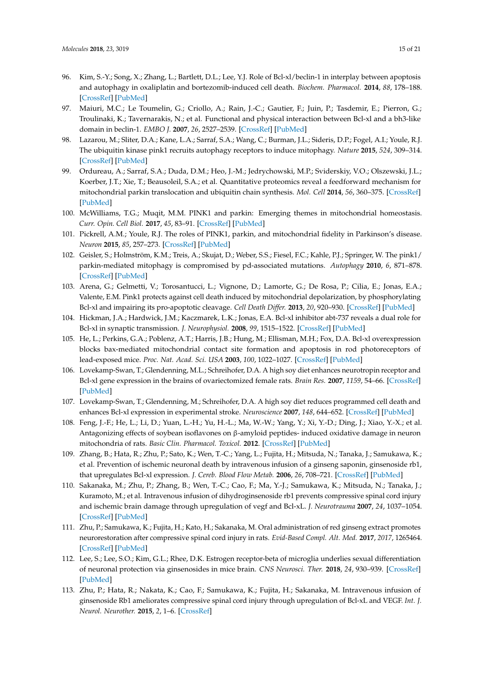- <span id="page-14-0"></span>96. Kim, S.-Y.; Song, X.; Zhang, L.; Bartlett, D.L.; Lee, Y.J. Role of Bcl-xl/beclin-1 in interplay between apoptosis and autophagy in oxaliplatin and bortezomib-induced cell death. *Biochem. Pharmacol.* **2014**, *88*, 178–188. [\[CrossRef\]](http://dx.doi.org/10.1016/j.bcp.2014.01.027) [\[PubMed\]](http://www.ncbi.nlm.nih.gov/pubmed/24486574)
- <span id="page-14-1"></span>97. Maiuri, M.C.; Le Toumelin, G.; Criollo, A.; Rain, J.-C.; Gautier, F.; Juin, P.; Tasdemir, E.; Pierron, G.; Troulinaki, K.; Tavernarakis, N.; et al. Functional and physical interaction between Bcl-xl and a bh3-like domain in beclin-1. *EMBO J.* **2007**, *26*, 2527–2539. [\[CrossRef\]](http://dx.doi.org/10.1038/sj.emboj.7601689) [\[PubMed\]](http://www.ncbi.nlm.nih.gov/pubmed/17446862)
- <span id="page-14-2"></span>98. Lazarou, M.; Sliter, D.A.; Kane, L.A.; Sarraf, S.A.; Wang, C.; Burman, J.L.; Sideris, D.P.; Fogel, A.I.; Youle, R.J. The ubiquitin kinase pink1 recruits autophagy receptors to induce mitophagy. *Nature* **2015**, *524*, 309–314. [\[CrossRef\]](http://dx.doi.org/10.1038/nature14893) [\[PubMed\]](http://www.ncbi.nlm.nih.gov/pubmed/26266977)
- 99. Ordureau, A.; Sarraf, S.A.; Duda, D.M.; Heo, J.-M.; Jedrychowski, M.P.; Sviderskiy, V.O.; Olszewski, J.L.; Koerber, J.T.; Xie, T.; Beausoleil, S.A.; et al. Quantitative proteomics reveal a feedforward mechanism for mitochondrial parkin translocation and ubiquitin chain synthesis. *Mol. Cell* **2014**, *56*, 360–375. [\[CrossRef\]](http://dx.doi.org/10.1016/j.molcel.2014.09.007) [\[PubMed\]](http://www.ncbi.nlm.nih.gov/pubmed/25284222)
- <span id="page-14-3"></span>100. McWilliams, T.G.; Muqit, M.M. PINK1 and parkin: Emerging themes in mitochondrial homeostasis. *Curr. Opin. Cell Biol.* **2017**, *45*, 83–91. [\[CrossRef\]](http://dx.doi.org/10.1016/j.ceb.2017.03.013) [\[PubMed\]](http://www.ncbi.nlm.nih.gov/pubmed/28437683)
- <span id="page-14-4"></span>101. Pickrell, A.M.; Youle, R.J. The roles of PINK1, parkin, and mitochondrial fidelity in Parkinson's disease. *Neuron* **2015**, *85*, 257–273. [\[CrossRef\]](http://dx.doi.org/10.1016/j.neuron.2014.12.007) [\[PubMed\]](http://www.ncbi.nlm.nih.gov/pubmed/25611507)
- <span id="page-14-5"></span>102. Geisler, S.; Holmström, K.M.; Treis, A.; Skujat, D.; Weber, S.S.; Fiesel, F.C.; Kahle, P.J.; Springer, W. The pink1/ parkin-mediated mitophagy is compromised by pd-associated mutations. *Autophagy* **2010**, *6*, 871–878. [\[CrossRef\]](http://dx.doi.org/10.4161/auto.6.7.13286) [\[PubMed\]](http://www.ncbi.nlm.nih.gov/pubmed/20798600)
- <span id="page-14-6"></span>103. Arena, G.; Gelmetti, V.; Torosantucci, L.; Vignone, D.; Lamorte, G.; De Rosa, P.; Cilia, E.; Jonas, E.A.; Valente, E.M. Pink1 protects against cell death induced by mitochondrial depolarization, by phosphorylating Bcl-xl and impairing its pro-apoptotic cleavage. *Cell Death Differ.* **2013**, *20*, 920–930. [\[CrossRef\]](http://dx.doi.org/10.1038/cdd.2013.19) [\[PubMed\]](http://www.ncbi.nlm.nih.gov/pubmed/23519076)
- <span id="page-14-7"></span>104. Hickman, J.A.; Hardwick, J.M.; Kaczmarek, L.K.; Jonas, E.A. Bcl-xl inhibitor abt-737 reveals a dual role for Bcl-xl in synaptic transmission. *J. Neurophysiol.* **2008**, *99*, 1515–1522. [\[CrossRef\]](http://dx.doi.org/10.1152/jn.00598.2007) [\[PubMed\]](http://www.ncbi.nlm.nih.gov/pubmed/18160428)
- <span id="page-14-8"></span>105. He, L.; Perkins, G.A.; Poblenz, A.T.; Harris, J.B.; Hung, M.; Ellisman, M.H.; Fox, D.A. Bcl-xl overexpression blocks bax-mediated mitochondrial contact site formation and apoptosis in rod photoreceptors of lead-exposed mice. *Proc. Nat. Acad. Sci. USA* **2003**, *100*, 1022–1027. [\[CrossRef\]](http://dx.doi.org/10.1073/pnas.0333594100) [\[PubMed\]](http://www.ncbi.nlm.nih.gov/pubmed/12540825)
- <span id="page-14-9"></span>106. Lovekamp-Swan, T.; Glendenning, M.L.; Schreihofer, D.A. A high soy diet enhances neurotropin receptor and Bcl-xl gene expression in the brains of ovariectomized female rats. *Brain Res.* **2007**, *1159*, 54–66. [\[CrossRef\]](http://dx.doi.org/10.1016/j.brainres.2007.05.026) [\[PubMed\]](http://www.ncbi.nlm.nih.gov/pubmed/17582385)
- <span id="page-14-10"></span>107. Lovekamp-Swan, T.; Glendenning, M.; Schreihofer, D.A. A high soy diet reduces programmed cell death and enhances Bcl-xl expression in experimental stroke. *Neuroscience* **2007**, *148*, 644–652. [\[CrossRef\]](http://dx.doi.org/10.1016/j.neuroscience.2007.06.046) [\[PubMed\]](http://www.ncbi.nlm.nih.gov/pubmed/17706879)
- <span id="page-14-11"></span>108. Feng, J.-F.; He, L.; Li, D.; Yuan, L.-H.; Yu, H.-L.; Ma, W.-W.; Yang, Y.; Xi, Y.-D.; Ding, J.; Xiao, Y.-X.; et al. Antagonizing effects of soybean isoflavones on β-amyloid peptides- induced oxidative damage in neuron mitochondria of rats. *Basic Clin. Pharmacol. Toxicol.* **2012**. [\[CrossRef\]](http://dx.doi.org/10.1111/j.1742-7843.2012.00900.x) [\[PubMed\]](http://www.ncbi.nlm.nih.gov/pubmed/22551092)
- <span id="page-14-12"></span>109. Zhang, B.; Hata, R.; Zhu, P.; Sato, K.; Wen, T.-C.; Yang, L.; Fujita, H.; Mitsuda, N.; Tanaka, J.; Samukawa, K.; et al. Prevention of ischemic neuronal death by intravenous infusion of a ginseng saponin, ginsenoside rb1, that upregulates Bcl-xl expression. *J. Cereb. Blood Flow Metab.* **2006**, *26*, 708–721. [\[CrossRef\]](http://dx.doi.org/10.1038/sj.jcbfm.9600225) [\[PubMed\]](http://www.ncbi.nlm.nih.gov/pubmed/16163298)
- <span id="page-14-13"></span>110. Sakanaka, M.; Zhu, P.; Zhang, B.; Wen, T.-C.; Cao, F.; Ma, Y.-J.; Samukawa, K.; Mitsuda, N.; Tanaka, J.; Kuramoto, M.; et al. Intravenous infusion of dihydroginsenoside rb1 prevents compressive spinal cord injury and ischemic brain damage through upregulation of vegf and Bcl-xL. *J. Neurotrauma* **2007**, *24*, 1037–1054. [\[CrossRef\]](http://dx.doi.org/10.1089/neu.2006.0182) [\[PubMed\]](http://www.ncbi.nlm.nih.gov/pubmed/17600519)
- <span id="page-14-14"></span>111. Zhu, P.; Samukawa, K.; Fujita, H.; Kato, H.; Sakanaka, M. Oral administration of red ginseng extract promotes neurorestoration after compressive spinal cord injury in rats. *Evid-Based Compl. Alt. Med.* **2017**, *2017*, 1265464. [\[CrossRef\]](http://dx.doi.org/10.1155/2017/1265464) [\[PubMed\]](http://www.ncbi.nlm.nih.gov/pubmed/28828029)
- <span id="page-14-15"></span>112. Lee, S.; Lee, S.O.; Kim, G.L.; Rhee, D.K. Estrogen receptor-beta of microglia underlies sexual differentiation of neuronal protection via ginsenosides in mice brain. *CNS Neurosci. Ther.* **2018**, *24*, 930–939. [\[CrossRef\]](http://dx.doi.org/10.1111/cns.12842) [\[PubMed\]](http://www.ncbi.nlm.nih.gov/pubmed/29524300)
- <span id="page-14-16"></span>113. Zhu, P.; Hata, R.; Nakata, K.; Cao, F.; Samukawa, K.; Fujita, H.; Sakanaka, M. Intravenous infusion of ginsenoside Rb1 ameliorates compressive spinal cord injury through upregulation of Bcl-xL and VEGF. *Int. J. Neurol. Neurother.* **2015**, *2*, 1–6. [\[CrossRef\]](http://dx.doi.org/10.23937/2378-3001/2/1/1017)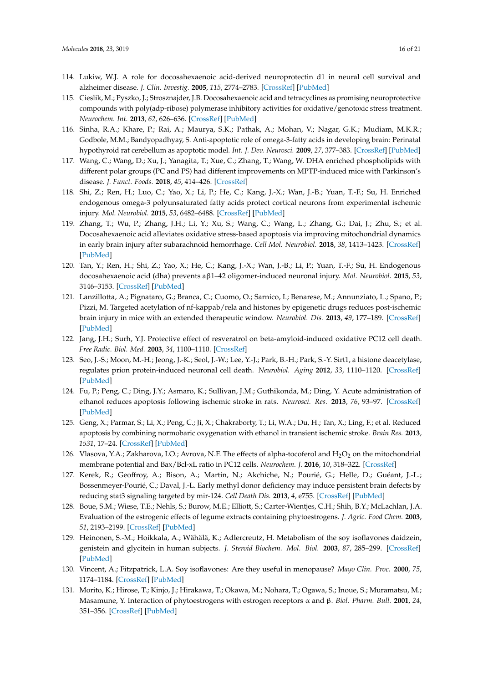- <span id="page-15-0"></span>114. Lukiw, W.J. A role for docosahexaenoic acid-derived neuroprotectin d1 in neural cell survival and alzheimer disease. *J. Clin. Investig.* **2005**, *115*, 2774–2783. [\[CrossRef\]](http://dx.doi.org/10.1172/JCI25420) [\[PubMed\]](http://www.ncbi.nlm.nih.gov/pubmed/16151530)
- <span id="page-15-1"></span>115. Cieslik, M.; Pyszko, J.; Strosznajder, J.B. Docosahexaenoic acid and tetracyclines as promising neuroprotective compounds with poly(adp-ribose) polymerase inhibitory activities for oxidative/genotoxic stress treatment. *Neurochem. Int.* **2013**, *62*, 626–636. [\[CrossRef\]](http://dx.doi.org/10.1016/j.neuint.2013.02.016) [\[PubMed\]](http://www.ncbi.nlm.nih.gov/pubmed/23439385)
- <span id="page-15-2"></span>116. Sinha, R.A.; Khare, P.; Rai, A.; Maurya, S.K.; Pathak, A.; Mohan, V.; Nagar, G.K.; Mudiam, M.K.R.; Godbole, M.M.; Bandyopadhyay, S. Anti-apoptotic role of omega-3-fatty acids in developing brain: Perinatal hypothyroid rat cerebellum as apoptotic model. *Int. J. Dev. Neurosci.* **2009**, *27*, 377–383. [\[CrossRef\]](http://dx.doi.org/10.1016/j.ijdevneu.2009.02.003) [\[PubMed\]](http://www.ncbi.nlm.nih.gov/pubmed/19460632)
- <span id="page-15-3"></span>117. Wang, C.; Wang, D.; Xu, J.; Yanagita, T.; Xue, C.; Zhang, T.; Wang, W. DHA enriched phospholipids with different polar groups (PC and PS) had different improvements on MPTP-induced mice with Parkinson's disease. *J. Funct. Foods.* **2018**, *45*, 414–426. [\[CrossRef\]](http://dx.doi.org/10.1016/j.jff.2018.04.017)
- <span id="page-15-4"></span>118. Shi, Z.; Ren, H.; Luo, C.; Yao, X.; Li, P.; He, C.; Kang, J.-X.; Wan, J.-B.; Yuan, T.-F.; Su, H. Enriched endogenous omega-3 polyunsaturated fatty acids protect cortical neurons from experimental ischemic injury. *Mol. Neurobiol.* **2015**, *53*, 6482–6488. [\[CrossRef\]](http://dx.doi.org/10.1007/s12035-015-9554-y) [\[PubMed\]](http://www.ncbi.nlm.nih.gov/pubmed/26611833)
- <span id="page-15-5"></span>119. Zhang, T.; Wu, P.; Zhang, J.H.; Li, Y.; Xu, S.; Wang, C.; Wang, L.; Zhang, G.; Dai, J.; Zhu, S.; et al. Docosahexaenoic acid alleviates oxidative stress-based apoptosis via improving mitochondrial dynamics in early brain injury after subarachnoid hemorrhage. *Cell Mol. Neurobiol.* **2018**, *38*, 1413–1423. [\[CrossRef\]](http://dx.doi.org/10.1007/s10571-018-0608-3) [\[PubMed\]](http://www.ncbi.nlm.nih.gov/pubmed/30084007)
- <span id="page-15-6"></span>120. Tan, Y.; Ren, H.; Shi, Z.; Yao, X.; He, C.; Kang, J.-X.; Wan, J.-B.; Li, P.; Yuan, T.-F.; Su, H. Endogenous docosahexaenoic acid (dha) prevents aβ1–42 oligomer-induced neuronal injury. *Mol. Neurobiol.* **2015**, *53*, 3146–3153. [\[CrossRef\]](http://dx.doi.org/10.1007/s12035-015-9224-0) [\[PubMed\]](http://www.ncbi.nlm.nih.gov/pubmed/26021747)
- <span id="page-15-7"></span>121. Lanzillotta, A.; Pignataro, G.; Branca, C.; Cuomo, O.; Sarnico, I.; Benarese, M.; Annunziato, L.; Spano, P.; Pizzi, M. Targeted acetylation of nf-kappab/rela and histones by epigenetic drugs reduces post-ischemic brain injury in mice with an extended therapeutic window. *Neurobiol. Dis.* **2013**, *49*, 177–189. [\[CrossRef\]](http://dx.doi.org/10.1016/j.nbd.2012.08.018) [\[PubMed\]](http://www.ncbi.nlm.nih.gov/pubmed/22971966)
- <span id="page-15-8"></span>122. Jang, J.H.; Surh, Y.J. Protective effect of resveratrol on beta-amyloid-induced oxidative PC12 cell death. *Free Radic. Biol. Med.* **2003**, *34*, 1100–1110. [\[CrossRef\]](http://dx.doi.org/10.1016/S0891-5849(03)00062-5)
- <span id="page-15-9"></span>123. Seo, J.-S.; Moon, M.-H.; Jeong, J.-K.; Seol, J.-W.; Lee, Y.-J.; Park, B.-H.; Park, S.-Y. Sirt1, a histone deacetylase, regulates prion protein-induced neuronal cell death. *Neurobiol. Aging* **2012**, *33*, 1110–1120. [\[CrossRef\]](http://dx.doi.org/10.1016/j.neurobiolaging.2010.09.019) [\[PubMed\]](http://www.ncbi.nlm.nih.gov/pubmed/21074897)
- <span id="page-15-10"></span>124. Fu, P.; Peng, C.; Ding, J.Y.; Asmaro, K.; Sullivan, J.M.; Guthikonda, M.; Ding, Y. Acute administration of ethanol reduces apoptosis following ischemic stroke in rats. *Neurosci. Res.* **2013**, *76*, 93–97. [\[CrossRef\]](http://dx.doi.org/10.1016/j.neures.2013.02.011) [\[PubMed\]](http://www.ncbi.nlm.nih.gov/pubmed/23511554)
- <span id="page-15-11"></span>125. Geng, X.; Parmar, S.; Li, X.; Peng, C.; Ji, X.; Chakraborty, T.; Li, W.A.; Du, H.; Tan, X.; Ling, F.; et al. Reduced apoptosis by combining normobaric oxygenation with ethanol in transient ischemic stroke. *Brain Res.* **2013**, *1531*, 17–24. [\[CrossRef\]](http://dx.doi.org/10.1016/j.brainres.2013.07.051) [\[PubMed\]](http://www.ncbi.nlm.nih.gov/pubmed/23920008)
- <span id="page-15-12"></span>126. Vlasova, Y.A.; Zakharova, I.O.; Avrova, N.F. The effects of alpha-tocoferol and  $H_2O_2$  on the mitochondrial membrane potential and Bax/Bcl-xL ratio in PC12 cells. *Neurochem. J.* **2016**, *10*, 318–322. [\[CrossRef\]](http://dx.doi.org/10.1134/S1819712416040152)
- <span id="page-15-13"></span>127. Kerek, R.; Geoffroy, A.; Bison, A.; Martin, N.; Akchiche, N.; Pourié, G.; Helle, D.; Guéant, J.-L.; Bossenmeyer-Pourié, C.; Daval, J.-L. Early methyl donor deficiency may induce persistent brain defects by reducing stat3 signaling targeted by mir-124. *Cell Death Dis.* **2013**, *4*, e755. [\[CrossRef\]](http://dx.doi.org/10.1038/cddis.2013.278) [\[PubMed\]](http://www.ncbi.nlm.nih.gov/pubmed/23928694)
- <span id="page-15-14"></span>128. Boue, S.M.; Wiese, T.E.; Nehls, S.; Burow, M.E.; Elliott, S.; Carter-Wientjes, C.H.; Shih, B.Y.; McLachlan, J.A. Evaluation of the estrogenic effects of legume extracts containing phytoestrogens. *J. Agric. Food Chem.* **2003**, *51*, 2193–2199. [\[CrossRef\]](http://dx.doi.org/10.1021/jf021114s) [\[PubMed\]](http://www.ncbi.nlm.nih.gov/pubmed/12670155)
- <span id="page-15-15"></span>129. Heinonen, S.-M.; Hoikkala, A.; Wähälä, K.; Adlercreutz, H. Metabolism of the soy isoflavones daidzein, genistein and glycitein in human subjects. *J. Steroid Biochem. Mol. Biol.* **2003**, *87*, 285–299. [\[CrossRef\]](http://dx.doi.org/10.1016/j.jsbmb.2003.09.003) [\[PubMed\]](http://www.ncbi.nlm.nih.gov/pubmed/14698210)
- <span id="page-15-16"></span>130. Vincent, A.; Fitzpatrick, L.A. Soy isoflavones: Are they useful in menopause? *Mayo Clin. Proc.* **2000**, *75*, 1174–1184. [\[CrossRef\]](http://dx.doi.org/10.4065/75.11.1174) [\[PubMed\]](http://www.ncbi.nlm.nih.gov/pubmed/11075748)
- <span id="page-15-17"></span>131. Morito, K.; Hirose, T.; Kinjo, J.; Hirakawa, T.; Okawa, M.; Nohara, T.; Ogawa, S.; Inoue, S.; Muramatsu, M.; Masamune, Y. Interaction of phytoestrogens with estrogen receptors α and β. *Biol. Pharm. Bull.* **2001**, *24*, 351–356. [\[CrossRef\]](http://dx.doi.org/10.1248/bpb.24.351) [\[PubMed\]](http://www.ncbi.nlm.nih.gov/pubmed/11305594)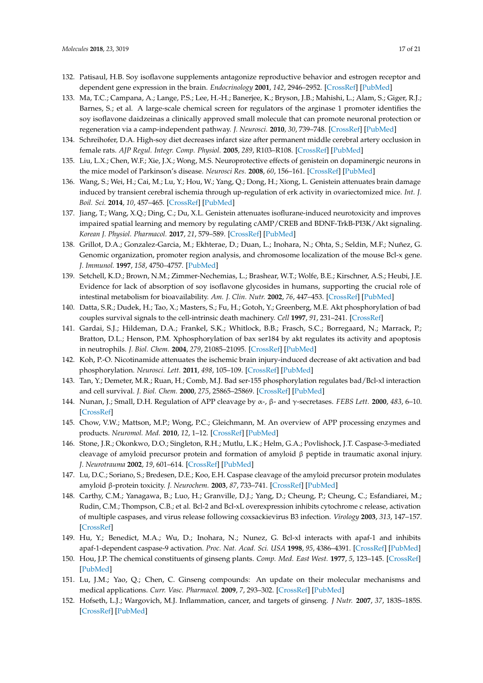- <span id="page-16-0"></span>132. Patisaul, H.B. Soy isoflavone supplements antagonize reproductive behavior and estrogen receptor and dependent gene expression in the brain. *Endocrinology* **2001**, *142*, 2946–2952. [\[CrossRef\]](http://dx.doi.org/10.1210/endo.142.7.8241) [\[PubMed\]](http://www.ncbi.nlm.nih.gov/pubmed/11416015)
- <span id="page-16-1"></span>133. Ma, T.C.; Campana, A.; Lange, P.S.; Lee, H.-H.; Banerjee, K.; Bryson, J.B.; Mahishi, L.; Alam, S.; Giger, R.J.; Barnes, S.; et al. A large-scale chemical screen for regulators of the arginase 1 promoter identifies the soy isoflavone daidzeinas a clinically approved small molecule that can promote neuronal protection or regeneration via a camp-independent pathway. *J. Neurosci.* **2010**, *30*, 739–748. [\[CrossRef\]](http://dx.doi.org/10.1523/JNEUROSCI.5266-09.2010) [\[PubMed\]](http://www.ncbi.nlm.nih.gov/pubmed/20071539)
- <span id="page-16-2"></span>134. Schreihofer, D.A. High-soy diet decreases infarct size after permanent middle cerebral artery occlusion in female rats. *AJP Regul. Integr. Comp. Physiol.* **2005**, *289*, R103–R108. [\[CrossRef\]](http://dx.doi.org/10.1152/ajpregu.00642.2004) [\[PubMed\]](http://www.ncbi.nlm.nih.gov/pubmed/15956759)
- 135. Liu, L.X.; Chen, W.F.; Xie, J.X.; Wong, M.S. Neuroprotective effects of genistein on dopaminergic neurons in the mice model of Parkinson's disease. *Neurosci Res.* **2008**, *60*, 156–161. [\[CrossRef\]](http://dx.doi.org/10.1016/j.neures.2007.10.005) [\[PubMed\]](http://www.ncbi.nlm.nih.gov/pubmed/18054104)
- <span id="page-16-3"></span>136. Wang, S.; Wei, H.; Cai, M.; Lu, Y.; Hou, W.; Yang, Q.; Dong, H.; Xiong, L. Genistein attenuates brain damage induced by transient cerebral ischemia through up-regulation of erk activity in ovariectomized mice. *Int. J. Boil. Sci.* **2014**, *10*, 457–465. [\[CrossRef\]](http://dx.doi.org/10.7150/ijbs.7562) [\[PubMed\]](http://www.ncbi.nlm.nih.gov/pubmed/24719563)
- <span id="page-16-4"></span>137. Jiang, T.; Wang, X.Q.; Ding, C.; Du, X.L. Genistein attenuates isoflurane-induced neurotoxicity and improves impaired spatial learning and memory by regulating cAMP/CREB and BDNF-TrkB-PI3K/Akt signaling. *Korean J. Physiol. Pharmacol.* **2017**, *21*, 579–589. [\[CrossRef\]](http://dx.doi.org/10.4196/kjpp.2017.21.6.579) [\[PubMed\]](http://www.ncbi.nlm.nih.gov/pubmed/29200900)
- <span id="page-16-5"></span>138. Grillot, D.A.; Gonzalez-Garcia, M.; Ekhterae, D.; Duan, L.; Inohara, N.; Ohta, S.; Seldin, M.F.; Nuñez, G. Genomic organization, promoter region analysis, and chromosome localization of the mouse Bcl-x gene. *J. Immunol.* **1997**, *158*, 4750–4757. [\[PubMed\]](http://www.ncbi.nlm.nih.gov/pubmed/9144489)
- <span id="page-16-6"></span>139. Setchell, K.D.; Brown, N.M.; Zimmer-Nechemias, L.; Brashear, W.T.; Wolfe, B.E.; Kirschner, A.S.; Heubi, J.E. Evidence for lack of absorption of soy isoflavone glycosides in humans, supporting the crucial role of intestinal metabolism for bioavailability. *Am. J. Clin. Nutr.* **2002**, *76*, 447–453. [\[CrossRef\]](http://dx.doi.org/10.1093/ajcn/76.2.447) [\[PubMed\]](http://www.ncbi.nlm.nih.gov/pubmed/12145021)
- <span id="page-16-7"></span>140. Datta, S.R.; Dudek, H.; Tao, X.; Masters, S.; Fu, H.; Gotoh, Y.; Greenberg, M.E. Akt phosphorylation of bad couples survival signals to the cell-intrinsic death machinery. *Cell* **1997**, *91*, 231–241. [\[CrossRef\]](http://dx.doi.org/10.1016/S0092-8674(00)80405-5)
- <span id="page-16-9"></span>141. Gardai, S.J.; Hildeman, D.A.; Frankel, S.K.; Whitlock, B.B.; Frasch, S.C.; Borregaard, N.; Marrack, P.; Bratton, D.L.; Henson, P.M. Xphosphorylation of bax ser184 by akt regulates its activity and apoptosis in neutrophils. *J. Biol. Chem.* **2004**, *279*, 21085–21095. [\[CrossRef\]](http://dx.doi.org/10.1074/jbc.M400063200) [\[PubMed\]](http://www.ncbi.nlm.nih.gov/pubmed/14766748)
- <span id="page-16-8"></span>142. Koh, P.-O. Nicotinamide attenuates the ischemic brain injury-induced decrease of akt activation and bad phosphorylation. *Neurosci. Lett.* **2011**, *498*, 105–109. [\[CrossRef\]](http://dx.doi.org/10.1016/j.neulet.2011.05.003) [\[PubMed\]](http://www.ncbi.nlm.nih.gov/pubmed/21596097)
- <span id="page-16-10"></span>143. Tan, Y.; Demeter, M.R.; Ruan, H.; Comb, M.J. Bad ser-155 phosphorylation regulates bad/Bcl-xl interaction and cell survival. *J. Biol. Chem.* **2000**, *275*, 25865–25869. [\[CrossRef\]](http://dx.doi.org/10.1074/jbc.M004199200) [\[PubMed\]](http://www.ncbi.nlm.nih.gov/pubmed/10837486)
- <span id="page-16-11"></span>144. Nunan, J.; Small, D.H. Regulation of APP cleavage by α-, β- and γ-secretases. *FEBS Lett.* **2000**, *483*, 6–10. [\[CrossRef\]](http://dx.doi.org/10.1016/S0014-5793(00)02076-7)
- 145. Chow, V.W.; Mattson, M.P.; Wong, P.C.; Gleichmann, M. An overview of APP processing enzymes and products. *Neuromol. Med.* **2010**, *12*, 1–12. [\[CrossRef\]](http://dx.doi.org/10.1007/s12017-009-8104-z) [\[PubMed\]](http://www.ncbi.nlm.nih.gov/pubmed/20232515)
- 146. Stone, J.R.; Okonkwo, D.O.; Singleton, R.H.; Mutlu, L.K.; Helm, G.A.; Povlishock, J.T. Caspase-3-mediated cleavage of amyloid precursor protein and formation of amyloid β peptide in traumatic axonal injury. *J. Neurotrauma* **2002**, *19*, 601–614. [\[CrossRef\]](http://dx.doi.org/10.1089/089771502753754073) [\[PubMed\]](http://www.ncbi.nlm.nih.gov/pubmed/12042095)
- <span id="page-16-12"></span>147. Lu, D.C.; Soriano, S.; Bredesen, D.E.; Koo, E.H. Caspase cleavage of the amyloid precursor protein modulates amyloid β-protein toxicity. *J. Neurochem.* **2003**, *87*, 733–741. [\[CrossRef\]](http://dx.doi.org/10.1046/j.1471-4159.2003.02059.x) [\[PubMed\]](http://www.ncbi.nlm.nih.gov/pubmed/14535955)
- <span id="page-16-13"></span>148. Carthy, C.M.; Yanagawa, B.; Luo, H.; Granville, D.J.; Yang, D.; Cheung, P.; Cheung, C.; Esfandiarei, M.; Rudin, C.M.; Thompson, C.B.; et al. Bcl-2 and Bcl-xL overexpression inhibits cytochrome c release, activation of multiple caspases, and virus release following coxsackievirus B3 infection. *Virology* **2003**, *313*, 147–157. [\[CrossRef\]](http://dx.doi.org/10.1016/S0042-6822(03)00242-3)
- <span id="page-16-14"></span>149. Hu, Y.; Benedict, M.A.; Wu, D.; Inohara, N.; Nunez, G. Bcl-xl interacts with apaf-1 and inhibits apaf-1-dependent caspase-9 activation. *Proc. Nat. Acad. Sci. USA* **1998**, *95*, 4386–4391. [\[CrossRef\]](http://dx.doi.org/10.1073/pnas.95.8.4386) [\[PubMed\]](http://www.ncbi.nlm.nih.gov/pubmed/9539746)
- <span id="page-16-15"></span>150. Hou, J.P. The chemical constituents of ginseng plants. *Comp. Med. East West.* **1977**, *5*, 123–145. [\[CrossRef\]](http://dx.doi.org/10.1142/S0147291777000209) [\[PubMed\]](http://www.ncbi.nlm.nih.gov/pubmed/608333)
- <span id="page-16-16"></span>151. Lu, J.M.; Yao, Q.; Chen, C. Ginseng compounds: An update on their molecular mechanisms and medical applications. *Curr. Vasc. Pharmacol.* **2009**, *7*, 293–302. [\[CrossRef\]](http://dx.doi.org/10.2174/157016109788340767) [\[PubMed\]](http://www.ncbi.nlm.nih.gov/pubmed/19601854)
- <span id="page-16-17"></span>152. Hofseth, L.J.; Wargovich, M.J. Inflammation, cancer, and targets of ginseng. *J Nutr.* **2007**, *37*, 183S–185S. [\[CrossRef\]](http://dx.doi.org/10.1093/jn/137.1.183S) [\[PubMed\]](http://www.ncbi.nlm.nih.gov/pubmed/17182823)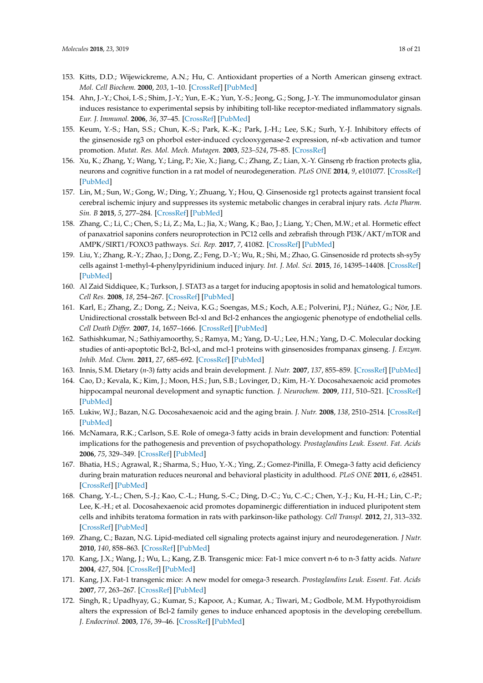- 153. Kitts, D.D.; Wijewickreme, A.N.; Hu, C. Antioxidant properties of a North American ginseng extract. *Mol. Cell Biochem.* **2000**, *203*, 1–10. [\[CrossRef\]](http://dx.doi.org/10.1023/A:1007078414639) [\[PubMed\]](http://www.ncbi.nlm.nih.gov/pubmed/10724326)
- 154. Ahn, J.-Y.; Choi, I.-S.; Shim, J.-Y.; Yun, E.-K.; Yun, Y.-S.; Jeong, G.; Song, J.-Y. The immunomodulator ginsan induces resistance to experimental sepsis by inhibiting toll-like receptor-mediated inflammatory signals. *Eur. J. Immunol.* **2006**, *36*, 37–45. [\[CrossRef\]](http://dx.doi.org/10.1002/eji.200535138) [\[PubMed\]](http://www.ncbi.nlm.nih.gov/pubmed/16342327)
- <span id="page-17-0"></span>155. Keum, Y.-S.; Han, S.S.; Chun, K.-S.; Park, K.-K.; Park, J.-H.; Lee, S.K.; Surh, Y.-J. Inhibitory effects of the ginsenoside rg3 on phorbol ester-induced cyclooxygenase-2 expression, nf-κb activation and tumor promotion. *Mutat. Res. Mol. Mech. Mutagen.* **2003**, *523–524*, 75–85. [\[CrossRef\]](http://dx.doi.org/10.1016/S0027-5107(02)00323-8)
- <span id="page-17-1"></span>156. Xu, K.; Zhang, Y.; Wang, Y.; Ling, P.; Xie, X.; Jiang, C.; Zhang, Z.; Lian, X.-Y. Ginseng rb fraction protects glia, neurons and cognitive function in a rat model of neurodegeneration. *PLoS ONE* **2014**, *9*, e101077. [\[CrossRef\]](http://dx.doi.org/10.1371/journal.pone.0101077) [\[PubMed\]](http://www.ncbi.nlm.nih.gov/pubmed/24971630)
- <span id="page-17-2"></span>157. Lin, M.; Sun, W.; Gong, W.; Ding, Y.; Zhuang, Y.; Hou, Q. Ginsenoside rg1 protects against transient focal cerebral ischemic injury and suppresses its systemic metabolic changes in cerabral injury rats. *Acta Pharm. Sin. B* **2015**, *5*, 277–284. [\[CrossRef\]](http://dx.doi.org/10.1016/j.apsb.2015.02.001) [\[PubMed\]](http://www.ncbi.nlm.nih.gov/pubmed/26579457)
- <span id="page-17-3"></span>158. Zhang, C.; Li, C.; Chen, S.; Li, Z.; Ma, L.; Jia, X.; Wang, K.; Bao, J.; Liang, Y.; Chen, M.W.; et al. Hormetic effect of panaxatriol saponins confers neuroprotection in PC12 cells and zebrafish through PI3K/AKT/mTOR and AMPK/SIRT1/FOXO3 pathways. *Sci. Rep.* **2017**, *7*, 41082. [\[CrossRef\]](http://dx.doi.org/10.1038/srep41082) [\[PubMed\]](http://www.ncbi.nlm.nih.gov/pubmed/28112228)
- <span id="page-17-4"></span>159. Liu, Y.; Zhang, R.-Y.; Zhao, J.; Dong, Z.; Feng, D.-Y.; Wu, R.; Shi, M.; Zhao, G. Ginsenoside rd protects sh-sy5y cells against 1-methyl-4-phenylpyridinium induced injury. *Int. J. Mol. Sci.* **2015**, *16*, 14395–14408. [\[CrossRef\]](http://dx.doi.org/10.3390/ijms160714395) [\[PubMed\]](http://www.ncbi.nlm.nih.gov/pubmed/26114390)
- <span id="page-17-5"></span>160. Al Zaid Siddiquee, K.; Turkson, J. STAT3 as a target for inducing apoptosis in solid and hematological tumors. *Cell Res.* **2008**, *18*, 254–267. [\[CrossRef\]](http://dx.doi.org/10.1038/cr.2008.18) [\[PubMed\]](http://www.ncbi.nlm.nih.gov/pubmed/18227858)
- <span id="page-17-6"></span>161. Karl, E.; Zhang, Z.; Dong, Z.; Neiva, K.G.; Soengas, M.S.; Koch, A.E.; Polverini, P.J.; Núñez, G.; Nör, J.E. Unidirectional crosstalk between Bcl-xl and Bcl-2 enhances the angiogenic phenotype of endothelial cells. *Cell Death Differ.* **2007**, *14*, 1657–1666. [\[CrossRef\]](http://dx.doi.org/10.1038/sj.cdd.4402174) [\[PubMed\]](http://www.ncbi.nlm.nih.gov/pubmed/17572663)
- <span id="page-17-7"></span>162. Sathishkumar, N.; Sathiyamoorthy, S.; Ramya, M.; Yang, D.-U.; Lee, H.N.; Yang, D.-C. Molecular docking studies of anti-apoptotic Bcl-2, Bcl-xl, and mcl-1 proteins with ginsenosides frompanax ginseng. *J. Enzym. Inhib. Med. Chem.* **2011**, *27*, 685–692. [\[CrossRef\]](http://dx.doi.org/10.3109/14756366.2011.608663) [\[PubMed\]](http://www.ncbi.nlm.nih.gov/pubmed/21919598)
- <span id="page-17-9"></span><span id="page-17-8"></span>163. Innis, S.M. Dietary (*n*-3) fatty acids and brain development. *J. Nutr.* **2007**, *137*, 855–859. [\[CrossRef\]](http://dx.doi.org/10.1093/jn/137.4.855) [\[PubMed\]](http://www.ncbi.nlm.nih.gov/pubmed/17374644)
- 164. Cao, D.; Kevala, K.; Kim, J.; Moon, H.S.; Jun, S.B.; Lovinger, D.; Kim, H.-Y. Docosahexaenoic acid promotes hippocampal neuronal development and synaptic function. *J. Neurochem.* **2009**, *111*, 510–521. [\[CrossRef\]](http://dx.doi.org/10.1111/j.1471-4159.2009.06335.x) [\[PubMed\]](http://www.ncbi.nlm.nih.gov/pubmed/19682204)
- <span id="page-17-10"></span>165. Lukiw, W.J.; Bazan, N.G. Docosahexaenoic acid and the aging brain. *J. Nutr.* **2008**, *138*, 2510–2514. [\[CrossRef\]](http://dx.doi.org/10.3945/jn.108.096016) [\[PubMed\]](http://www.ncbi.nlm.nih.gov/pubmed/19022980)
- 166. McNamara, R.K.; Carlson, S.E. Role of omega-3 fatty acids in brain development and function: Potential implications for the pathogenesis and prevention of psychopathology. *Prostaglandins Leuk. Essent. Fat. Acids* **2006**, *75*, 329–349. [\[CrossRef\]](http://dx.doi.org/10.1016/j.plefa.2006.07.010) [\[PubMed\]](http://www.ncbi.nlm.nih.gov/pubmed/16949263)
- <span id="page-17-11"></span>167. Bhatia, H.S.; Agrawal, R.; Sharma, S.; Huo, Y.-X.; Ying, Z.; Gomez-Pinilla, F. Omega-3 fatty acid deficiency during brain maturation reduces neuronal and behavioral plasticity in adulthood. *PLoS ONE* **2011**, *6*, e28451. [\[CrossRef\]](http://dx.doi.org/10.1371/journal.pone.0028451) [\[PubMed\]](http://www.ncbi.nlm.nih.gov/pubmed/22163304)
- <span id="page-17-12"></span>168. Chang, Y.-L.; Chen, S.-J.; Kao, C.-L.; Hung, S.-C.; Ding, D.-C.; Yu, C.-C.; Chen, Y.-J.; Ku, H.-H.; Lin, C.-P.; Lee, K.-H.; et al. Docosahexaenoic acid promotes dopaminergic differentiation in induced pluripotent stem cells and inhibits teratoma formation in rats with parkinson-like pathology. *Cell Transpl.* **2012**, *21*, 313–332. [\[CrossRef\]](http://dx.doi.org/10.3727/096368911X580572) [\[PubMed\]](http://www.ncbi.nlm.nih.gov/pubmed/21669041)
- <span id="page-17-13"></span>169. Zhang, C.; Bazan, N.G. Lipid-mediated cell signaling protects against injury and neurodegeneration. *J Nutr.* **2010**, *140*, 858–863. [\[CrossRef\]](http://dx.doi.org/10.3945/jn.109.114884) [\[PubMed\]](http://www.ncbi.nlm.nih.gov/pubmed/20181788)
- <span id="page-17-14"></span>170. Kang, J.X.; Wang, J.; Wu, L.; Kang, Z.B. Transgenic mice: Fat-1 mice convert n-6 to n-3 fatty acids. *Nature* **2004**, *427*, 504. [\[CrossRef\]](http://dx.doi.org/10.1038/427504a) [\[PubMed\]](http://www.ncbi.nlm.nih.gov/pubmed/14765186)
- <span id="page-17-15"></span>171. Kang, J.X. Fat-1 transgenic mice: A new model for omega-3 research. *Prostaglandins Leuk. Essent. Fat. Acids* **2007**, *77*, 263–267. [\[CrossRef\]](http://dx.doi.org/10.1016/j.plefa.2007.10.010) [\[PubMed\]](http://www.ncbi.nlm.nih.gov/pubmed/18042365)
- <span id="page-17-16"></span>172. Singh, R.; Upadhyay, G.; Kumar, S.; Kapoor, A.; Kumar, A.; Tiwari, M.; Godbole, M.M. Hypothyroidism alters the expression of Bcl-2 family genes to induce enhanced apoptosis in the developing cerebellum. *J. Endocrinol.* **2003**, *176*, 39–46. [\[CrossRef\]](http://dx.doi.org/10.1677/joe.0.1760039) [\[PubMed\]](http://www.ncbi.nlm.nih.gov/pubmed/12525248)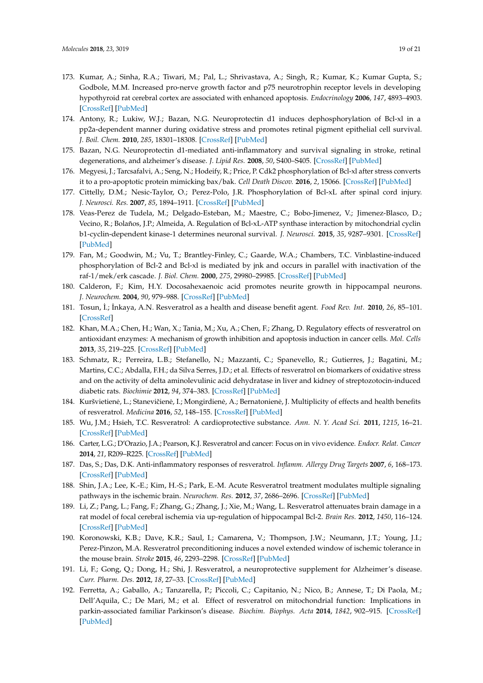- <span id="page-18-0"></span>173. Kumar, A.; Sinha, R.A.; Tiwari, M.; Pal, L.; Shrivastava, A.; Singh, R.; Kumar, K.; Kumar Gupta, S.; Godbole, M.M. Increased pro-nerve growth factor and p75 neurotrophin receptor levels in developing hypothyroid rat cerebral cortex are associated with enhanced apoptosis. *Endocrinology* **2006**, *147*, 4893–4903. [\[CrossRef\]](http://dx.doi.org/10.1210/en.2006-0027) [\[PubMed\]](http://www.ncbi.nlm.nih.gov/pubmed/16794016)
- <span id="page-18-1"></span>174. Antony, R.; Lukiw, W.J.; Bazan, N.G. Neuroprotectin d1 induces dephosphorylation of Bcl-xl in a pp2a-dependent manner during oxidative stress and promotes retinal pigment epithelial cell survival. *J. Boil. Chem.* **2010**, *285*, 18301–18308. [\[CrossRef\]](http://dx.doi.org/10.1074/jbc.M109.095232) [\[PubMed\]](http://www.ncbi.nlm.nih.gov/pubmed/20363734)
- <span id="page-18-2"></span>175. Bazan, N.G. Neuroprotectin d1-mediated anti-inflammatory and survival signaling in stroke, retinal degenerations, and alzheimer's disease. *J. Lipid Res.* **2008**, *50*, S400–S405. [\[CrossRef\]](http://dx.doi.org/10.1194/jlr.R800068-JLR200) [\[PubMed\]](http://www.ncbi.nlm.nih.gov/pubmed/19018037)
- <span id="page-18-3"></span>176. Megyesi, J.; Tarcsafalvi, A.; Seng, N.; Hodeify, R.; Price, P. Cdk2 phosphorylation of Bcl-xl after stress converts it to a pro-apoptotic protein mimicking bax/bak. *Cell Death Discov.* **2016**, *2*, 15066. [\[CrossRef\]](http://dx.doi.org/10.1038/cddiscovery.2015.66) [\[PubMed\]](http://www.ncbi.nlm.nih.gov/pubmed/27226901)
- 177. Cittelly, D.M.; Nesic-Taylor, O.; Perez-Polo, J.R. Phosphorylation of Bcl-xL after spinal cord injury. *J. Neurosci. Res.* **2007**, *85*, 1894–1911. [\[CrossRef\]](http://dx.doi.org/10.1002/jnr.21313) [\[PubMed\]](http://www.ncbi.nlm.nih.gov/pubmed/17551978)
- 178. Veas-Perez de Tudela, M.; Delgado-Esteban, M.; Maestre, C.; Bobo-Jimenez, V.; Jimenez-Blasco, D.; Vecino, R.; Bolaños, J.P.; Almeida, A. Regulation of Bcl-xL-ATP synthase interaction by mitochondrial cyclin b1-cyclin-dependent kinase-1 determines neuronal survival. *J. Neurosci.* **2015**, *35*, 9287–9301. [\[CrossRef\]](http://dx.doi.org/10.1523/JNEUROSCI.4712-14.2015) [\[PubMed\]](http://www.ncbi.nlm.nih.gov/pubmed/26109654)
- <span id="page-18-4"></span>179. Fan, M.; Goodwin, M.; Vu, T.; Brantley-Finley, C.; Gaarde, W.A.; Chambers, T.C. Vinblastine-induced phosphorylation of Bcl-2 and Bcl-xl is mediated by jnk and occurs in parallel with inactivation of the raf-1/mek/erk cascade. *J. Biol. Chem.* **2000**, *275*, 29980–29985. [\[CrossRef\]](http://dx.doi.org/10.1074/jbc.M003776200) [\[PubMed\]](http://www.ncbi.nlm.nih.gov/pubmed/10913135)
- <span id="page-18-5"></span>180. Calderon, F.; Kim, H.Y. Docosahexaenoic acid promotes neurite growth in hippocampal neurons. *J. Neurochem.* **2004**, *90*, 979–988. [\[CrossRef\]](http://dx.doi.org/10.1111/j.1471-4159.2004.02520.x) [\[PubMed\]](http://www.ncbi.nlm.nih.gov/pubmed/15287904)
- <span id="page-18-6"></span>181. Tosun, ˙I.; ˙Inkaya, A.N. Resveratrol as a health and disease benefit agent. *Food Rev. Int.* **2010**, *26*, 85–101. [\[CrossRef\]](http://dx.doi.org/10.1080/87559120802525459)
- <span id="page-18-7"></span>182. Khan, M.A.; Chen, H.; Wan, X.; Tania, M.; Xu, A.; Chen, F.; Zhang, D. Regulatory effects of resveratrol on antioxidant enzymes: A mechanism of growth inhibition and apoptosis induction in cancer cells. *Mol. Cells* **2013**, *35*, 219–225. [\[CrossRef\]](http://dx.doi.org/10.1007/s10059-013-2259-z) [\[PubMed\]](http://www.ncbi.nlm.nih.gov/pubmed/23456297)
- <span id="page-18-8"></span>183. Schmatz, R.; Perreira, L.B.; Stefanello, N.; Mazzanti, C.; Spanevello, R.; Gutierres, J.; Bagatini, M.; Martins, C.C.; Abdalla, F.H.; da Silva Serres, J.D.; et al. Effects of resveratrol on biomarkers of oxidative stress and on the activity of delta aminolevulinic acid dehydratase in liver and kidney of streptozotocin-induced diabetic rats. *Biochimie* **2012**, *94*, 374–383. [\[CrossRef\]](http://dx.doi.org/10.1016/j.biochi.2011.08.005) [\[PubMed\]](http://www.ncbi.nlm.nih.gov/pubmed/21864646)
- <span id="page-18-9"></span>184. Kuršvietienė, L.; Stanevičienė, I.; Mongirdienė, A.; Bernatonienė, J. Multiplicity of effects and health benefits of resveratrol. *Medicina* **2016**, *52*, 148–155. [\[CrossRef\]](http://dx.doi.org/10.1016/j.medici.2016.03.003) [\[PubMed\]](http://www.ncbi.nlm.nih.gov/pubmed/27496184)
- 185. Wu, J.M.; Hsieh, T.C. Resveratrol: A cardioprotective substance. *Ann. N. Y. Acad Sci.* **2011**, *1215*, 16–21. [\[CrossRef\]](http://dx.doi.org/10.1111/j.1749-6632.2010.05854.x) [\[PubMed\]](http://www.ncbi.nlm.nih.gov/pubmed/21261637)
- 186. Carter, L.G.; D'Orazio, J.A.; Pearson, K.J. Resveratrol and cancer: Focus on in vivo evidence. *Endocr. Relat. Cancer* **2014**, *21*, R209–R225. [\[CrossRef\]](http://dx.doi.org/10.1530/ERC-13-0171) [\[PubMed\]](http://www.ncbi.nlm.nih.gov/pubmed/24500760)
- <span id="page-18-10"></span>187. Das, S.; Das, D.K. Anti-inflammatory responses of resveratrol. *Inflamm. Allergy Drug Targets* **2007**, *6*, 168–173. [\[CrossRef\]](http://dx.doi.org/10.2174/187152807781696464) [\[PubMed\]](http://www.ncbi.nlm.nih.gov/pubmed/17897053)
- <span id="page-18-11"></span>188. Shin, J.A.; Lee, K.-E.; Kim, H.-S.; Park, E.-M. Acute Resveratrol treatment modulates multiple signaling pathways in the ischemic brain. *Neurochem. Res.* **2012**, *37*, 2686–2696. [\[CrossRef\]](http://dx.doi.org/10.1007/s11064-012-0858-2) [\[PubMed\]](http://www.ncbi.nlm.nih.gov/pubmed/22878646)
- <span id="page-18-15"></span>189. Li, Z.; Pang, L.; Fang, F.; Zhang, G.; Zhang, J.; Xie, M.; Wang, L. Resveratrol attenuates brain damage in a rat model of focal cerebral ischemia via up-regulation of hippocampal Bcl-2. *Brain Res.* **2012**, *1450*, 116–124. [\[CrossRef\]](http://dx.doi.org/10.1016/j.brainres.2012.02.019) [\[PubMed\]](http://www.ncbi.nlm.nih.gov/pubmed/22410291)
- <span id="page-18-12"></span>190. Koronowski, K.B.; Dave, K.R.; Saul, I.; Camarena, V.; Thompson, J.W.; Neumann, J.T.; Young, J.I.; Perez-Pinzon, M.A. Resveratrol preconditioning induces a novel extended window of ischemic tolerance in the mouse brain. *Stroke* **2015**, *46*, 2293–2298. [\[CrossRef\]](http://dx.doi.org/10.1161/STROKEAHA.115.009876) [\[PubMed\]](http://www.ncbi.nlm.nih.gov/pubmed/26159789)
- <span id="page-18-13"></span>191. Li, F.; Gong, Q.; Dong, H.; Shi, J. Resveratrol, a neuroprotective supplement for Alzheimer's disease. *Curr. Pharm. Des.* **2012**, *18*, 27–33. [\[CrossRef\]](http://dx.doi.org/10.2174/138161212798919075) [\[PubMed\]](http://www.ncbi.nlm.nih.gov/pubmed/22211686)
- <span id="page-18-14"></span>192. Ferretta, A.; Gaballo, A.; Tanzarella, P.; Piccoli, C.; Capitanio, N.; Nico, B.; Annese, T.; Di Paola, M.; Dell'Aquila, C.; De Mari, M.; et al. Effect of resveratrol on mitochondrial function: Implications in parkin-associated familiar Parkinson's disease. *Biochim. Biophys. Acta* **2014**, *1842*, 902–915. [\[CrossRef\]](http://dx.doi.org/10.1016/j.bbadis.2014.02.010) [\[PubMed\]](http://www.ncbi.nlm.nih.gov/pubmed/24582596)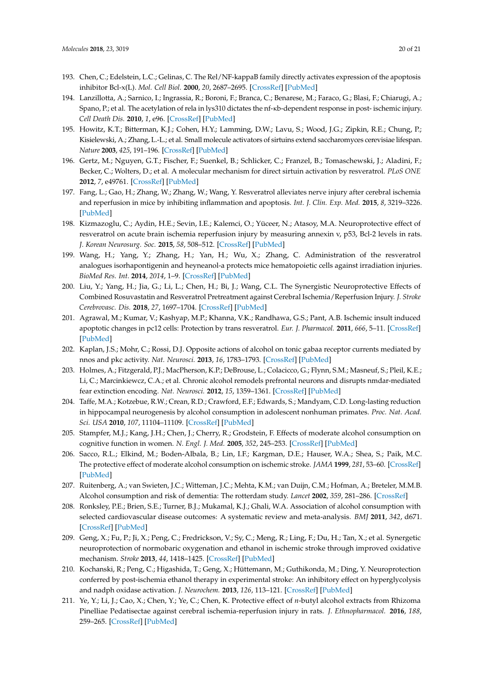- <span id="page-19-0"></span>193. Chen, C.; Edelstein, L.C.; Gelinas, C. The Rel/NF-kappaB family directly activates expression of the apoptosis inhibitor Bcl-x(L). *Mol. Cell Biol.* **2000**, *20*, 2687–2695. [\[CrossRef\]](http://dx.doi.org/10.1128/MCB.20.8.2687-2695.2000) [\[PubMed\]](http://www.ncbi.nlm.nih.gov/pubmed/10733571)
- <span id="page-19-1"></span>194. Lanzillotta, A.; Sarnico, I.; Ingrassia, R.; Boroni, F.; Branca, C.; Benarese, M.; Faraco, G.; Blasi, F.; Chiarugi, A.; Spano, P.; et al. The acetylation of rela in lys310 dictates the nf-κb-dependent response in post- ischemic injury. *Cell Death Dis.* **2010**, *1*, e96. [\[CrossRef\]](http://dx.doi.org/10.1038/cddis.2010.76) [\[PubMed\]](http://www.ncbi.nlm.nih.gov/pubmed/21368872)
- <span id="page-19-2"></span>195. Howitz, K.T.; Bitterman, K.J.; Cohen, H.Y.; Lamming, D.W.; Lavu, S.; Wood, J.G.; Zipkin, R.E.; Chung, P.; Kisielewski, A.; Zhang, L.-L.; et al. Small molecule activators of sirtuins extend saccharomyces cerevisiae lifespan. *Nature* **2003**, *425*, 191–196. [\[CrossRef\]](http://dx.doi.org/10.1038/nature01960) [\[PubMed\]](http://www.ncbi.nlm.nih.gov/pubmed/12939617)
- <span id="page-19-3"></span>196. Gertz, M.; Nguyen, G.T.; Fischer, F.; Suenkel, B.; Schlicker, C.; Franzel, B.; Tomaschewski, J.; Aladini, F.; Becker, C.; Wolters, D.; et al. A molecular mechanism for direct sirtuin activation by resveratrol. *PLoS ONE* **2012**, *7*, e49761. [\[CrossRef\]](http://dx.doi.org/10.1371/journal.pone.0049761) [\[PubMed\]](http://www.ncbi.nlm.nih.gov/pubmed/23185430)
- <span id="page-19-4"></span>197. Fang, L.; Gao, H.; Zhang, W.; Zhang, W.; Wang, Y. Resveratrol alleviates nerve injury after cerebral ischemia and reperfusion in mice by inhibiting inflammation and apoptosis. *Int. J. Clin. Exp. Med.* **2015**, *8*, 3219–3226. [\[PubMed\]](http://www.ncbi.nlm.nih.gov/pubmed/26064211)
- 198. Kizmazoglu, C.; Aydin, H.E.; Sevin, I.E.; Kalemci, O.; Yüceer, N.; Atasoy, M.A. Neuroprotective effect of resveratrol on acute brain ischemia reperfusion injury by measuring annexin v, p53, Bcl-2 levels in rats. *J. Korean Neurosurg. Soc.* **2015**, *58*, 508–512. [\[CrossRef\]](http://dx.doi.org/10.3340/jkns.2015.58.6.508) [\[PubMed\]](http://www.ncbi.nlm.nih.gov/pubmed/26819684)
- 199. Wang, H.; Yang, Y.; Zhang, H.; Yan, H.; Wu, X.; Zhang, C. Administration of the resveratrol analogues isorhapontigenin and heyneanol-a protects mice hematopoietic cells against irradiation injuries. *BioMed Res. Int.* **2014**, *2014*, 1–9. [\[CrossRef\]](http://dx.doi.org/10.1155/2014/282657) [\[PubMed\]](http://www.ncbi.nlm.nih.gov/pubmed/25050334)
- 200. Liu, Y.; Yang, H.; Jia, G.; Li, L.; Chen, H.; Bi, J.; Wang, C.L. The Synergistic Neuroprotective Effects of Combined Rosuvastatin and Resveratrol Pretreatment against Cerebral Ischemia/Reperfusion Injury. *J. Stroke Cerebrovasc. Dis.* **2018**, *27*, 1697–1704. [\[CrossRef\]](http://dx.doi.org/10.1016/j.jstrokecerebrovasdis.2018.01.033) [\[PubMed\]](http://www.ncbi.nlm.nih.gov/pubmed/29525080)
- <span id="page-19-5"></span>201. Agrawal, M.; Kumar, V.; Kashyap, M.P.; Khanna, V.K.; Randhawa, G.S.; Pant, A.B. Ischemic insult induced apoptotic changes in pc12 cells: Protection by trans resveratrol. *Eur. J. Pharmacol.* **2011**, *666*, 5–11. [\[CrossRef\]](http://dx.doi.org/10.1016/j.ejphar.2011.05.015) [\[PubMed\]](http://www.ncbi.nlm.nih.gov/pubmed/21620820)
- <span id="page-19-6"></span>202. Kaplan, J.S.; Mohr, C.; Rossi, D.J. Opposite actions of alcohol on tonic gabaa receptor currents mediated by nnos and pkc activity. *Nat. Neurosci.* **2013**, *16*, 1783–1793. [\[CrossRef\]](http://dx.doi.org/10.1038/nn.3559) [\[PubMed\]](http://www.ncbi.nlm.nih.gov/pubmed/24162656)
- <span id="page-19-7"></span>203. Holmes, A.; Fitzgerald, P.J.; MacPherson, K.P.; DeBrouse, L.; Colacicco, G.; Flynn, S.M.; Masneuf, S.; Pleil, K.E.; Li, C.; Marcinkiewcz, C.A.; et al. Chronic alcohol remodels prefrontal neurons and disrupts nmdar-mediated fear extinction encoding. *Nat. Neurosci.* **2012**, *15*, 1359–1361. [\[CrossRef\]](http://dx.doi.org/10.1038/nn.3204) [\[PubMed\]](http://www.ncbi.nlm.nih.gov/pubmed/22941108)
- <span id="page-19-8"></span>204. Taffe, M.A.; Kotzebue, R.W.; Crean, R.D.; Crawford, E.F.; Edwards, S.; Mandyam, C.D. Long-lasting reduction in hippocampal neurogenesis by alcohol consumption in adolescent nonhuman primates. *Proc. Nat. Acad. Sci. USA* **2010**, *107*, 11104–11109. [\[CrossRef\]](http://dx.doi.org/10.1073/pnas.0912810107) [\[PubMed\]](http://www.ncbi.nlm.nih.gov/pubmed/20534463)
- <span id="page-19-9"></span>205. Stampfer, M.J.; Kang, J.H.; Chen, J.; Cherry, R.; Grodstein, F. Effects of moderate alcohol consumption on cognitive function in women. *N. Engl. J. Med.* **2005**, *352*, 245–253. [\[CrossRef\]](http://dx.doi.org/10.1056/NEJMoa041152) [\[PubMed\]](http://www.ncbi.nlm.nih.gov/pubmed/15659724)
- 206. Sacco, R.L.; Elkind, M.; Boden-Albala, B.; Lin, I.F.; Kargman, D.E.; Hauser, W.A.; Shea, S.; Paik, M.C. The protective effect of moderate alcohol consumption on ischemic stroke. *JAMA* **1999**, *281*, 53–60. [\[CrossRef\]](http://dx.doi.org/10.1001/jama.281.1.53) [\[PubMed\]](http://www.ncbi.nlm.nih.gov/pubmed/9892451)
- 207. Ruitenberg, A.; van Swieten, J.C.; Witteman, J.C.; Mehta, K.M.; van Duijn, C.M.; Hofman, A.; Breteler, M.M.B. Alcohol consumption and risk of dementia: The rotterdam study. *Lancet* **2002**, *359*, 281–286. [\[CrossRef\]](http://dx.doi.org/10.1016/S0140-6736(02)07493-7)
- <span id="page-19-10"></span>208. Ronksley, P.E.; Brien, S.E.; Turner, B.J.; Mukamal, K.J.; Ghali, W.A. Association of alcohol consumption with selected cardiovascular disease outcomes: A systematic review and meta-analysis. *BMJ* **2011**, *342*, d671. [\[CrossRef\]](http://dx.doi.org/10.1136/bmj.d671) [\[PubMed\]](http://www.ncbi.nlm.nih.gov/pubmed/21343207)
- <span id="page-19-11"></span>209. Geng, X.; Fu, P.; Ji, X.; Peng, C.; Fredrickson, V.; Sy, C.; Meng, R.; Ling, F.; Du, H.; Tan, X.; et al. Synergetic neuroprotection of normobaric oxygenation and ethanol in ischemic stroke through improved oxidative mechanism. *Stroke* **2013**, *44*, 1418–1425. [\[CrossRef\]](http://dx.doi.org/10.1161/STROKEAHA.111.000315) [\[PubMed\]](http://www.ncbi.nlm.nih.gov/pubmed/23512978)
- <span id="page-19-12"></span>210. Kochanski, R.; Peng, C.; Higashida, T.; Geng, X.; Hüttemann, M.; Guthikonda, M.; Ding, Y. Neuroprotection conferred by post-ischemia ethanol therapy in experimental stroke: An inhibitory effect on hyperglycolysis and nadph oxidase activation. *J. Neurochem.* **2013**, *126*, 113–121. [\[CrossRef\]](http://dx.doi.org/10.1111/jnc.12169) [\[PubMed\]](http://www.ncbi.nlm.nih.gov/pubmed/23350720)
- <span id="page-19-13"></span>211. Ye, Y.; Li, J.; Cao, X.; Chen, Y.; Ye, C.; Chen, K. Protective effect of *n*-butyl alcohol extracts from Rhizoma Pinelliae Pedatisectae against cerebral ischemia-reperfusion injury in rats. *J. Ethnopharmacol.* **2016**, *188*, 259–265. [\[CrossRef\]](http://dx.doi.org/10.1016/j.jep.2016.04.046) [\[PubMed\]](http://www.ncbi.nlm.nih.gov/pubmed/27132713)